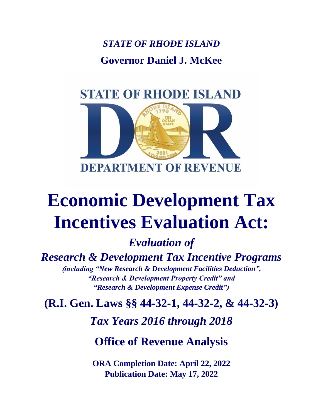*STATE OF RHODE ISLAND* **Governor Daniel J. McKee**

# **STATE OF RHODE ISLAND**



# **Economic Development Tax Incentives Evaluation Act:**

*Evaluation of* 

*Research & Development Tax Incentive Programs*

**(***including "New Research & Development Facilities Deduction", "Research & Development Property Credit" and "Research & Development Expense Credit")*

**(R.I. Gen. Laws §§ 44-32-1, 44-32-2, & 44-32-3)**

*Tax Years 2016 through 2018*

**Office of Revenue Analysis**

**ORA Completion Date: April 22, 2022 Publication Date: May 17, 2022**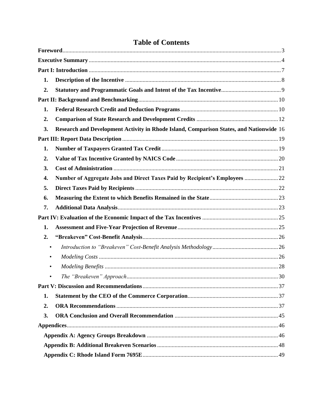| 1.               |                                                                                         |  |
|------------------|-----------------------------------------------------------------------------------------|--|
| 2.               |                                                                                         |  |
|                  |                                                                                         |  |
| 1.               |                                                                                         |  |
| $\overline{2}$ . |                                                                                         |  |
| 3.               | Research and Development Activity in Rhode Island, Comparison States, and Nationwide 16 |  |
|                  |                                                                                         |  |
| 1.               |                                                                                         |  |
| $\overline{2}$ . |                                                                                         |  |
| 3.               |                                                                                         |  |
| 4.               | Number of Aggregate Jobs and Direct Taxes Paid by Recipient's Employees  22             |  |
| 5.               |                                                                                         |  |
| 6.               |                                                                                         |  |
| 7.               |                                                                                         |  |
|                  |                                                                                         |  |
| 1.               |                                                                                         |  |
| 2.               |                                                                                         |  |
| $\bullet$        |                                                                                         |  |
| ٠                |                                                                                         |  |
| ٠                |                                                                                         |  |
|                  |                                                                                         |  |
|                  |                                                                                         |  |
| 1.               |                                                                                         |  |
| 2.               |                                                                                         |  |
| 3.               |                                                                                         |  |
|                  |                                                                                         |  |
|                  |                                                                                         |  |
|                  |                                                                                         |  |
|                  |                                                                                         |  |

# **Table of Contents**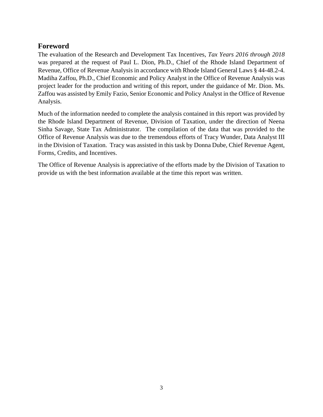#### <span id="page-2-0"></span>**Foreword**

The evaluation of the Research and Development Tax Incentives, *Tax Years 2016 through 2018* was prepared at the request of Paul L. Dion, Ph.D., Chief of the Rhode Island Department of Revenue, Office of Revenue Analysis in accordance with Rhode Island General Laws § 44-48.2-4. Madiha Zaffou, Ph.D., Chief Economic and Policy Analyst in the Office of Revenue Analysis was project leader for the production and writing of this report, under the guidance of Mr. Dion. Ms. Zaffou was assisted by Emily Fazio, Senior Economic and Policy Analyst in the Office of Revenue Analysis.

Much of the information needed to complete the analysis contained in this report was provided by the Rhode Island Department of Revenue, Division of Taxation, under the direction of Neena Sinha Savage, State Tax Administrator. The compilation of the data that was provided to the Office of Revenue Analysis was due to the tremendous efforts of Tracy Wunder, Data Analyst III in the Division of Taxation. Tracy was assisted in this task by Donna Dube, Chief Revenue Agent, Forms, Credits, and Incentives.

The Office of Revenue Analysis is appreciative of the efforts made by the Division of Taxation to provide us with the best information available at the time this report was written.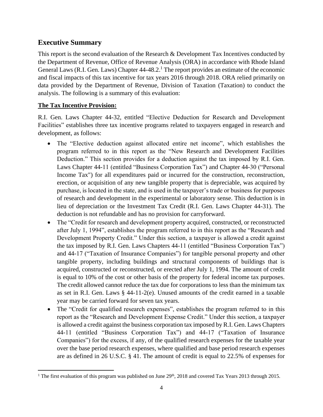## <span id="page-3-0"></span>**Executive Summary**

This report is the second evaluation of the Research & Development Tax Incentives conducted by the Department of Revenue, Office of Revenue Analysis (ORA) in accordance with Rhode Island General Laws (R.I. Gen. Laws) Chapter 44-48.2.<sup>1</sup> The report provides an estimate of the economic and fiscal impacts of this tax incentive for tax years 2016 through 2018. ORA relied primarily on data provided by the Department of Revenue, Division of Taxation (Taxation) to conduct the analysis. The following is a summary of this evaluation:

#### **The Tax Incentive Provision:**

R.I. Gen. Laws Chapter 44-32, entitled "Elective Deduction for Research and Development Facilities" establishes three tax incentive programs related to taxpayers engaged in research and development, as follows:

- The "Elective deduction against allocated entire net income", which establishes the program referred to in this report as the "New Research and Development Facilities Deduction." This section provides for a deduction against the tax imposed by R.I. Gen. Laws Chapter 44-11 (entitled "Business Corporation Tax") and Chapter 44-30 ("Personal Income Tax") for all expenditures paid or incurred for the construction, reconstruction, erection, or acquisition of any new tangible property that is depreciable, was acquired by purchase, is located in the state, and is used in the taxpayer's trade or business for purposes of research and development in the experimental or laboratory sense. This deduction is in lieu of depreciation or the Investment Tax Credit (R.I. Gen. Laws Chapter 44-31). The deduction is not refundable and has no provision for carryforward.
- The "Credit for research and development property acquired, constructed, or reconstructed after July 1, 1994", establishes the program referred to in this report as the "Research and Development Property Credit." Under this section, a taxpayer is allowed a credit against the tax imposed by R.I. Gen. Laws Chapters 44-11 (entitled "Business Corporation Tax") and 44-17 ("Taxation of Insurance Companies") for tangible personal property and other tangible property, including buildings and structural components of buildings that is acquired, constructed or reconstructed, or erected after July 1, 1994. The amount of credit is equal to 10% of the cost or other basis of the property for federal income tax purposes. The credit allowed cannot reduce the tax due for corporations to less than the minimum tax as set in R.I. Gen. Laws § 44-11-2(e). Unused amounts of the credit earned in a taxable year may be carried forward for seven tax years.
- The "Credit for qualified research expenses", establishes the program referred to in this report as the "Research and Development Expense Credit." Under this section, a taxpayer is allowed a credit against the business corporation tax imposed by R.I. Gen. Laws Chapters 44-11 (entitled "Business Corporation Tax") and 44-17 ("Taxation of Insurance Companies") for the excess, if any, of the qualified research expenses for the taxable year over the base period research expenses, where qualified and base period research expenses are as defined in 26 U.S.C. § 41. The amount of credit is equal to 22.5% of expenses for

<sup>&</sup>lt;sup>1</sup> The first evaluation of this program was published on June  $29<sup>th</sup>$ , 2018 and covered Tax Years 2013 through 2015.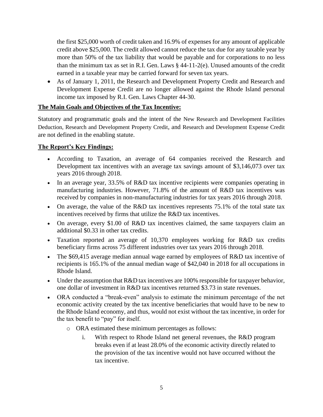the first \$25,000 worth of credit taken and 16.9% of expenses for any amount of applicable credit above \$25,000. The credit allowed cannot reduce the tax due for any taxable year by more than 50% of the tax liability that would be payable and for corporations to no less than the minimum tax as set in R.I. Gen. Laws § 44-11-2(e). Unused amounts of the credit earned in a taxable year may be carried forward for seven tax years.

• As of January 1, 2011, the Research and Development Property Credit and Research and Development Expense Credit are no longer allowed against the Rhode Island personal income tax imposed by R.I. Gen. Laws Chapter 44-30.

#### **The Main Goals and Objectives of the Tax Incentive:**

Statutory and programmatic goals and the intent of the New Research and Development Facilities Deduction, Research and Development Property Credit, and Research and Development Expense Credit are not defined in the enabling statute.

#### **The Report's Key Findings:**

- According to Taxation, an average of 64 companies received the Research and Development tax incentives with an average tax savings amount of \$3,146,073 over tax years 2016 through 2018.
- In an average year, 33.5% of R&D tax incentive recipients were companies operating in manufacturing industries. However, 71.8% of the amount of R&D tax incentives was received by companies in non-manufacturing industries for tax years 2016 through 2018.
- On average, the value of the R&D tax incentives represents 75.1% of the total state tax incentives received by firms that utilize the R&D tax incentives.
- On average, every \$1.00 of R&D tax incentives claimed, the same taxpayers claim an additional \$0.33 in other tax credits.
- Taxation reported an average of 10,370 employees working for R&D tax credits beneficiary firms across 75 different industries over tax years 2016 through 2018.
- The \$69,415 average median annual wage earned by employees of R&D tax incentive of recipients is 165.1% of the annual median wage of \$42,040 in 2018 for all occupations in Rhode Island.
- Under the assumption that R&D tax incentives are 100% responsible for taxpayer behavior, one dollar of investment in R&D tax incentives returned \$3.73 in state revenues.
- ORA conducted a "break-even" analysis to estimate the minimum percentage of the net economic activity created by the tax incentive beneficiaries that would have to be new to the Rhode Island economy, and thus, would not exist without the tax incentive, in order for the tax benefit to "pay" for itself.
	- o ORA estimated these minimum percentages as follows:
		- i. With respect to Rhode Island net general revenues, the R&D program breaks even if at least 28.0% of the economic activity directly related to the provision of the tax incentive would not have occurred without the tax incentive.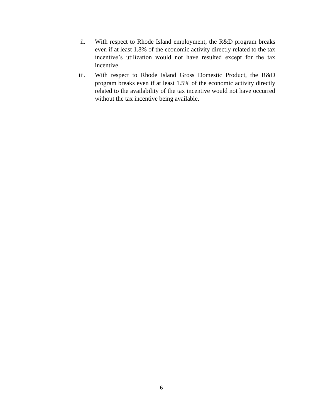- ii. With respect to Rhode Island employment, the R&D program breaks even if at least 1.8% of the economic activity directly related to the tax incentive's utilization would not have resulted except for the tax incentive.
- iii. With respect to Rhode Island Gross Domestic Product, the R&D program breaks even if at least 1.5% of the economic activity directly related to the availability of the tax incentive would not have occurred without the tax incentive being available.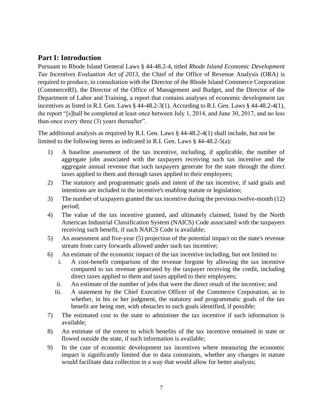## <span id="page-6-0"></span>**Part I: Introduction**

Pursuant to Rhode Island General Laws § 44-48.2-4, titled *Rhode Island Economic Development Tax Incentives Evaluation Act of 2013,* the Chief of the Office of Revenue Analysis (ORA) is required to produce, in consultation with the Director of the Rhode Island Commerce Corporation (CommerceRI), the Director of the Office of Management and Budget, and the Director of the Department of Labor and Training, a report that contains analyses of economic development tax incentives as listed in R.I. Gen. Laws § 44-48.2-3(1). According to R.I. Gen. Laws § 44-48.2-4(1), the report "[s]hall be completed at least once between July 1, 2014, and June 30, 2017, and no less than once every three (3) years thereafter".

The additional analysis as required by R.I. Gen. Laws § 44-48.2-4(1) shall include, but not be limited to the following items as indicated in R.I. Gen. Laws § 44-48.2-5(a):

- 1) A baseline assessment of the tax incentive, including, if applicable, the number of aggregate jobs associated with the taxpayers receiving such tax incentive and the aggregate annual revenue that such taxpayers generate for the state through the direct taxes applied to them and through taxes applied to their employees;
- 2) The statutory and programmatic goals and intent of the tax incentive, if said goals and intentions are included in the incentive's enabling statute or legislation;
- 3) The number of taxpayers granted the tax incentive during the previous twelve-month (12) period;
- 4) The value of the tax incentive granted, and ultimately claimed, listed by the North American Industrial Classification System (NAICS) Code associated with the taxpayers receiving such benefit, if such NAICS Code is available;
- 5) An assessment and five-year (5) projection of the potential impact on the state's revenue stream from carry forwards allowed under such tax incentive;
- 6) An estimate of the economic impact of the tax incentive including, but not limited to:
	- i. A cost-benefit comparison of the revenue forgone by allowing the tax incentive compared to tax revenue generated by the taxpayer receiving the credit, including direct taxes applied to them and taxes applied to their employees;
	- ii. An estimate of the number of jobs that were the direct result of the incentive; and
	- iii. A statement by the Chief Executive Officer of the Commerce Corporation, as to whether, in his or her judgment, the statutory and programmatic goals of the tax benefit are being met, with obstacles to such goals identified, if possible;
- 7) The estimated cost to the state to administer the tax incentive if such information is available;
- 8) An estimate of the extent to which benefits of the tax incentive remained in state or flowed outside the state, if such information is available;
- 9) In the case of economic development tax incentives where measuring the economic impact is significantly limited due to data constraints, whether any changes in statute would facilitate data collection in a way that would allow for better analysis;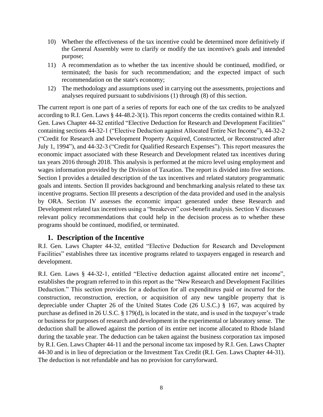- 10) Whether the effectiveness of the tax incentive could be determined more definitively if the General Assembly were to clarify or modify the tax incentive's goals and intended purpose;
- 11) A recommendation as to whether the tax incentive should be continued, modified, or terminated; the basis for such recommendation; and the expected impact of such recommendation on the state's economy;
- 12) The methodology and assumptions used in carrying out the assessments, projections and analyses required pursuant to subdivisions (1) through (8) of this section.

The current report is one part of a series of reports for each one of the tax credits to be analyzed according to R.I. Gen. Laws § 44-48.2-3(1). This report concerns the credits contained within R.I. Gen. Laws Chapter 44-32 entitled "Elective Deduction for Research and Development Facilities" containing sections 44-32-1 ("Elective Deduction against Allocated Entire Net Income"), 44-32-2 ("Credit for Research and Development Property Acquired, Constructed, or Reconstructed after July 1, 1994"), and 44-32-3 ("Credit for Qualified Research Expenses"). This report measures the economic impact associated with these Research and Development related tax incentives during tax years 2016 through 2018. This analysis is performed at the micro level using employment and wages information provided by the Division of Taxation. The report is divided into five sections. Section I provides a detailed description of the tax incentives and related statutory programmatic goals and intents. Section II provides background and benchmarking analysis related to these tax incentive programs. Section III presents a description of the data provided and used in the analysis by ORA. Section IV assesses the economic impact generated under these Research and Development related tax incentives using a "breakeven" cost-benefit analysis. Section V discusses relevant policy recommendations that could help in the decision process as to whether these programs should be continued, modified, or terminated.

#### **1. Description of the Incentive**

<span id="page-7-0"></span>R.I. Gen. Laws Chapter 44-32, entitled "Elective Deduction for Research and Development Facilities" establishes three tax incentive programs related to taxpayers engaged in research and development.

R.I. Gen. Laws § 44-32-1, entitled "Elective deduction against allocated entire net income", establishes the program referred to in this report as the "New Research and Development Facilities Deduction." This section provides for a deduction for all expenditures paid or incurred for the construction, reconstruction, erection, or acquisition of any new tangible property that is depreciable under Chapter 26 of the United States Code (26 U.S.C.) § 167, was acquired by purchase as defined in 26 U.S.C. § 179(d), is located in the state, and is used in the taxpayer's trade or business for purposes of research and development in the experimental or laboratory sense. The deduction shall be allowed against the portion of its entire net income allocated to Rhode Island during the taxable year. The deduction can be taken against the business corporation tax imposed by R.I. Gen. Laws Chapter 44-11 and the personal income tax imposed by R.I. Gen. Laws Chapter 44-30 and is in lieu of depreciation or the Investment Tax Credit (R.I. Gen. Laws Chapter 44-31). The deduction is not refundable and has no provision for carryforward.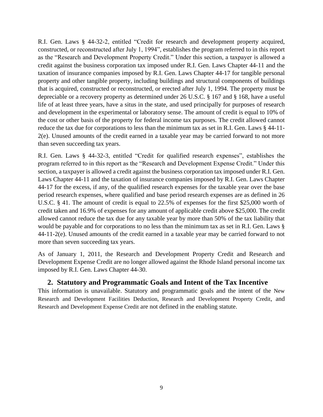R.I. Gen. Laws § 44-32-2, entitled "Credit for research and development property acquired, constructed, or reconstructed after July 1, 1994", establishes the program referred to in this report as the "Research and Development Property Credit." Under this section, a taxpayer is allowed a credit against the business corporation tax imposed under R.I. Gen. Laws Chapter 44-11 and the taxation of insurance companies imposed by R.I. Gen. Laws Chapter 44-17 for tangible personal property and other tangible property, including buildings and structural components of buildings that is acquired, constructed or reconstructed, or erected after July 1, 1994. The property must be depreciable or a recovery property as determined under 26 U.S.C. § 167 and § 168, have a useful life of at least three years, have a situs in the state, and used principally for purposes of research and development in the experimental or laboratory sense. The amount of credit is equal to 10% of the cost or other basis of the property for federal income tax purposes. The credit allowed cannot reduce the tax due for corporations to less than the minimum tax as set in R.I. Gen. Laws § 44-11- 2(e). Unused amounts of the credit earned in a taxable year may be carried forward to not more than seven succeeding tax years.

R.I. Gen. Laws § 44-32-3, entitled "Credit for qualified research expenses", establishes the program referred to in this report as the "Research and Development Expense Credit." Under this section, a taxpayer is allowed a credit against the business corporation tax imposed under R.I. Gen. Laws Chapter 44-11 and the taxation of insurance companies imposed by R.I. Gen. Laws Chapter 44-17 for the excess, if any, of the qualified research expenses for the taxable year over the base period research expenses, where qualified and base period research expenses are as defined in 26 U.S.C. § 41. The amount of credit is equal to 22.5% of expenses for the first \$25,000 worth of credit taken and 16.9% of expenses for any amount of applicable credit above \$25,000. The credit allowed cannot reduce the tax due for any taxable year by more than 50% of the tax liability that would be payable and for corporations to no less than the minimum tax as set in R.I. Gen. Laws § 44-11-2(e). Unused amounts of the credit earned in a taxable year may be carried forward to not more than seven succeeding tax years.

As of January 1, 2011, the Research and Development Property Credit and Research and Development Expense Credit are no longer allowed against the Rhode Island personal income tax imposed by R.I. Gen. Laws Chapter 44-30.

#### **2. Statutory and Programmatic Goals and Intent of the Tax Incentive**

<span id="page-8-0"></span>This information is unavailable. Statutory and programmatic goals and the intent of the New Research and Development Facilities Deduction, Research and Development Property Credit, and Research and Development Expense Credit are not defined in the enabling statute.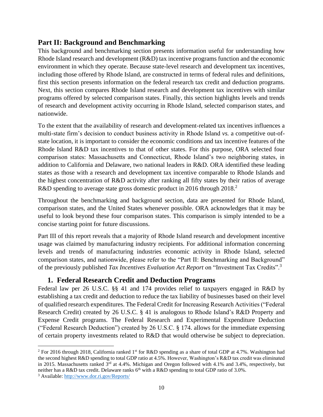#### <span id="page-9-0"></span>**Part II: Background and Benchmarking**

This background and benchmarking section presents information useful for understanding how Rhode Island research and development (R&D) tax incentive programs function and the economic environment in which they operate. Because state-level research and development tax incentives, including those offered by Rhode Island, are constructed in terms of federal rules and definitions, first this section presents information on the federal research tax credit and deduction programs. Next, this section compares Rhode Island research and development tax incentives with similar programs offered by selected comparison states. Finally, this section highlights levels and trends of research and development activity occurring in Rhode Island, selected comparison states, and nationwide.

To the extent that the availability of research and development-related tax incentives influences a multi-state firm's decision to conduct business activity in Rhode Island *vs.* a competitive out-ofstate location, it is important to consider the economic conditions and tax incentive features of the Rhode Island R&D tax incentives to that of other states. For this purpose, ORA selected four comparison states: Massachusetts and Connecticut, Rhode Island's two neighboring states, in addition to California and Delaware, two national leaders in R&D. ORA identified these leading states as those with a research and development tax incentive comparable to Rhode Islands and the highest concentration of R&D activity after ranking all fifty states by their ratios of average R&D spending to average state gross domestic product in 2016 through 2018.<sup>2</sup>

Throughout the benchmarking and background section, data are presented for Rhode Island, comparison states, and the United States whenever possible. ORA acknowledges that it may be useful to look beyond these four comparison states. This comparison is simply intended to be a concise starting point for future discussions.

Part III of this report reveals that a majority of Rhode Island research and development incentive usage was claimed by manufacturing industry recipients. For additional information concerning levels and trends of manufacturing industries economic activity in Rhode Island, selected comparison states, and nationwide, please refer to the "Part II: Benchmarking and Background" of the previously published *Tax Incentives Evaluation Act Report* on "Investment Tax Credits".<sup>3</sup>

#### **1. Federal Research Credit and Deduction Programs**

<span id="page-9-1"></span>Federal law per 26 U.S.C. §§ 41 and 174 provides relief to taxpayers engaged in R&D by establishing a tax credit and deduction to reduce the tax liability of businesses based on their level of qualified research expenditures. The Federal Credit for Increasing Research Activities ("Federal Research Credit) created by 26 U.S.C. § 41 is analogous to Rhode Island's R&D Property and Expense Credit programs. The Federal Research and Experimental Expenditure Deduction ("Federal Research Deduction") created by 26 U.S.C. § 174. allows for the immediate expensing of certain property investments related to R&D that would otherwise be subject to depreciation.

<sup>&</sup>lt;sup>2</sup> For 2016 through 2018, California ranked 1<sup>st</sup> for R&D spending as a share of total GDP at 4.7%. Washington had the second highest R&D spending to total GDP ratio at 4.5%. However, Washington's R&D tax credit was eliminated in 2015. Massachusetts ranked 3<sup>rd</sup> at 4.4%. Michigan and Oregon followed with 4.1% and 3.4%, respectively, but neither has a R&D tax credit. Delaware ranks  $6<sup>th</sup>$  with a R&D spending to total GDP ratio of 3.0%.

<sup>3</sup> Available:<http://www.dor.ri.gov/Reports/>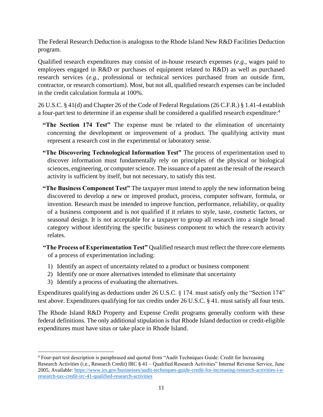The Federal Research Deduction is analogous to the Rhode Island New R&D Facilities Deduction program.

Qualified research expenditures may consist of in-house research expenses (*e.g.*, wages paid to employees engaged in R&D or purchases of equipment related to R&D) as well as purchased research services (*e.g.*, professional or technical services purchased from an outside firm, contractor, or research consortium). Most, but not all, qualified research expenses can be included in the credit calculation formula at 100%.

26 U.S.C. § 41(d) and Chapter 26 of the Code of Federal Regulations (26 C.F.R.) § 1.41-4 establish a four-part test to determine if an expense shall be considered a qualified research expenditure:<sup>4</sup>

- **"The Section 174 Test"** The expense must be related to the elimination of uncertainty concerning the development or improvement of a product. The qualifying activity must represent a research cost in the experimental or laboratory sense.
- **"The Discovering Technological Information Test"** The process of experimentation used to discover information must fundamentally rely on principles of the physical or biological sciences, engineering, or computer science. The issuance of a patent as the result of the research activity is sufficient by itself, but not necessary, to satisfy this test.
- **"The Business Component Test"** The taxpayer must intend to apply the new information being discovered to develop a new or improved product, process, computer software, formula, or invention. Research must be intended to improve function, performance, reliability, or quality of a business component and is not qualified if it relates to style, taste, cosmetic factors, or seasonal design. It is not acceptable for a taxpayer to group all research into a single broad category without identifying the specific business component to which the research activity relates.
- **"The Process of Experimentation Test"** Qualified research must reflect the three core elements of a process of experimentation including:
	- 1) Identify an aspect of uncertainty related to a product or business component
	- 2) Identify one or more alternatives intended to eliminate that uncertainty
	- 3) Identify a process of evaluating the alternatives.

Expenditures qualifying as deductions under 26 U.S.C. § 174. must satisfy only the "Section 174" test above. Expenditures qualifying for tax credits under 26 U.S.C. § 41. must satisfy all four tests.

The Rhode Island R&D Property and Expense Credit programs generally conform with these federal definitions. The only additional stipulation is that Rhode Island deduction or credit-eligible expenditures must have situs or take place in Rhode Island.

<sup>4</sup> Four-part test description is paraphrased and quoted from "Audit Techniques Guide: Credit for Increasing Research Activities (i.e., Research Credit) IRC § 41 – Qualified Research Activities" Internal Revenue Service, June 2005, Available: [https://www.irs.gov/businesses/audit-techniques-guide-credit-for-increasing-research-activities-i-e](https://www.irs.gov/businesses/audit-techniques-guide-credit-for-increasing-research-activities-i-e-research-tax-credit-irc-41-qualified-research-activities)[research-tax-credit-irc-41-qualified-research-activities](https://www.irs.gov/businesses/audit-techniques-guide-credit-for-increasing-research-activities-i-e-research-tax-credit-irc-41-qualified-research-activities)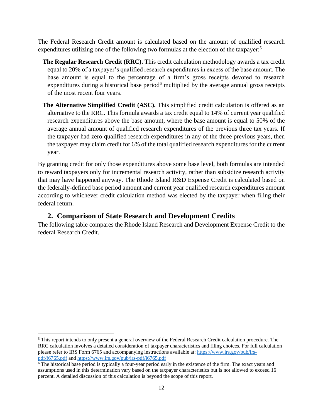The Federal Research Credit amount is calculated based on the amount of qualified research expenditures utilizing one of the following two formulas at the election of the taxpayer:<sup>5</sup>

- **The Regular Research Credit (RRC).** This credit calculation methodology awards a tax credit equal to 20% of a taxpayer's qualified research expenditures in excess of the base amount. The base amount is equal to the percentage of a firm's gross receipts devoted to research expenditures during a historical base period<sup>6</sup> multiplied by the average annual gross receipts of the most recent four years.
- **The Alternative Simplified Credit (ASC).** This simplified credit calculation is offered as an alternative to the RRC. This formula awards a tax credit equal to 14% of current year qualified research expenditures above the base amount, where the base amount is equal to 50% of the average annual amount of qualified research expenditures of the previous three tax years. If the taxpayer had zero qualified research expenditures in any of the three previous years, then the taxpayer may claim credit for 6% of the total qualified research expenditures for the current year.

By granting credit for only those expenditures above some base level, both formulas are intended to reward taxpayers only for incremental research activity, rather than subsidize research activity that may have happened anyway. The Rhode Island R&D Expense Credit is calculated based on the federally-defined base period amount and current year qualified research expenditures amount according to whichever credit calculation method was elected by the taxpayer when filing their federal return.

## **2. Comparison of State Research and Development Credits**

<span id="page-11-0"></span>The following table compares the Rhode Island Research and Development Expense Credit to the federal Research Credit.

<sup>5</sup> This report intends to only present a general overview of the Federal Research Credit calculation procedure. The RRC calculation involves a detailed consideration of taxpayer characteristics and filing choices. For full calculation please refer to IRS Form 6765 and accompanying instructions available at: [https://www.irs.gov/pub/irs](https://www.irs.gov/pub/irs-pdf/f6765.pdf)[pdf/f6765.pdf](https://www.irs.gov/pub/irs-pdf/f6765.pdf) an[d https://www.irs.gov/pub/irs-pdf/i6765.pdf](https://www.irs.gov/pub/irs-pdf/i6765.pdf)

<sup>&</sup>lt;sup>6</sup> The historical base period is typically a four-year period early in the existence of the firm. The exact years and assumptions used in this determination vary based on the taxpayer characteristics but is not allowed to exceed 16 percent. A detailed discussion of this calculation is beyond the scope of this report.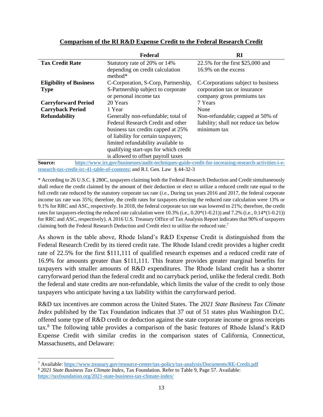|                                | Federal                                                                                              | RI                                                         |
|--------------------------------|------------------------------------------------------------------------------------------------------|------------------------------------------------------------|
| <b>Tax Credit Rate</b>         | Statutory rate of 20% or 14%                                                                         | 22.5% for the first \$25,000 and                           |
|                                | depending on credit calculation<br>$method*$                                                         | 16.9% on the excess                                        |
| <b>Eligibility of Business</b> | C-Corporation, S-Corp, Partnership,                                                                  | C-Corporations subject to business                         |
| <b>Type</b>                    | S-Partnership subject to corporate<br>or personal income tax                                         | corporation tax or insurance<br>company gross premiums tax |
| <b>Carryforward Period</b>     | 20 Years                                                                                             | 7 Years                                                    |
| <b>Carryback Period</b>        | 1 Year                                                                                               | None                                                       |
| <b>Refundability</b>           | Generally non-refundable; total of                                                                   | Non-refundable; capped at 50% of                           |
|                                | Federal Research Credit and other                                                                    | liability; shall not reduce tax below                      |
|                                | business tax credits capped at 25%                                                                   | minimum tax                                                |
|                                | of liability for certain taxpayers;                                                                  |                                                            |
|                                | limited refundability available to                                                                   |                                                            |
|                                | qualifying start-ups for which credit                                                                |                                                            |
|                                | is allowed to offset payroll taxes                                                                   |                                                            |
| Source:                        | https://www.irs.gov/businesses/audit-techniques-guide-credit-for-increasing-research-activities-i-e- |                                                            |

#### **Comparison of the RI R&D Expense Credit to the Federal Research Credit**

[research-tax-credit-irc-41-table-of-contents;](https://www.irs.gov/businesses/audit-techniques-guide-credit-for-increasing-research-activities-i-e-research-tax-credit-irc-41-table-of-contents) and R.I. Gen. Law § 44-32-3 \* According to 26 U.S.C. § 280C, taxpayers claiming both the Federal Research Deduction and Credit simultaneously

shall reduce the credit claimed by the amount of their deduction or elect to utilize a reduced credit rate equal to the full credit rate reduced by the statutory corporate tax rate (*i.e.*, During tax years 2016 and 2017, the federal corporate income tax rate was 35%; therefore, the credit rates for taxpayers electing the reduced rate calculation were 13% or 9.1% for RRC and ASC, respectively. In 2018, the federal corporate tax rate was lowered to 21%; therefore, the credit rates for taxpayers electing the reduced rate calculation were 10.3% (i.e., 0.20\*(1-0.21)) and 7.2% (i.e., 0.14\*(1-0.21)) for RRC and ASC, respectively). A 2016 U.S. Treasury Office of Tax Analysis Report indicates that 90% of taxpayers claiming both the Federal Research Deduction and Credit elect to utilize the reduced rate.<sup>7</sup>

As shown in the table above, Rhode Island's R&D Expense Credit is distinguished from the Federal Research Credit by its tiered credit rate. The Rhode Island credit provides a higher credit rate of 22.5% for the first \$111,111 of qualified research expenses and a reduced credit rate of 16.9% for amounts greater than \$111,111. This feature provides greater marginal benefits for taxpayers with smaller amounts of R&D expenditures. The Rhode Island credit has a shorter carryforward period than the federal credit and no carryback period, unlike the federal credit. Both the federal and state credits are non-refundable, which limits the value of the credit to only those taxpayers who anticipate having a tax liability within the carryforward period.

R&D tax incentives are common across the United States. The *2021 State Business Tax Climate Index* published by the Tax Foundation indicates that 37 out of 51 states plus Washington D.C. offered some type of R&D credit or deduction against the state corporate income or gross receipts tax. <sup>8</sup> The following table provides a comparison of the basic features of Rhode Island's R&D Expense Credit with similar credits in the comparison states of California, Connecticut, Massachusetts, and Delaware:

<sup>7</sup> Available:<https://www.treasury.gov/resource-center/tax-policy/tax-analysis/Documents/RE-Credit.pdf>

<sup>8</sup> *2021 State Business Tax Climate Index*, Tax Foundation. Refer to Table 9, Page 57. Available: <https://taxfoundation.org/2021-state-business-tax-climate-index/>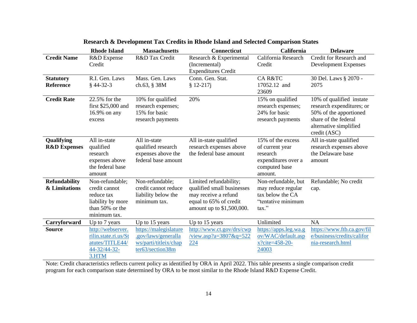|                         | <b>Rhode Island</b>  | <b>Massachusetts</b>  | <b>Connecticut</b>         | <b>California</b>     | <b>Delaware</b>            |
|-------------------------|----------------------|-----------------------|----------------------------|-----------------------|----------------------------|
| <b>Credit Name</b>      | R&D Expense          | R&D Tax Credit        | Research & Experimental    | California Research   | Credit for Research and    |
|                         | Credit               |                       | (Incremental)              | Credit                | Development Expenses       |
|                         |                      |                       | <b>Expenditures Credit</b> |                       |                            |
| <b>Statutory</b>        | R.I. Gen. Laws       | Mass. Gen. Laws       | Conn. Gen. Stat.           | <b>CAR&amp;TC</b>     | 30 Del. Laws § 2070 -      |
| <b>Reference</b>        | $§$ 44-32-3          | ch.63, § 38M          | $$12-217j$                 | 17052.12 and          | 2075                       |
|                         |                      |                       |                            | 23609                 |                            |
| <b>Credit Rate</b>      | 22.5% for the        | 10% for qualified     | 20%                        | 15% on qualified      | 10% of qualified instate   |
|                         | first \$25,000 and   | research expenses;    |                            | research expenses;    | research expenditures; or  |
|                         | 16.9% on any         | 15% for basic         |                            | 24% for basic         | 50% of the apportioned     |
|                         | excess               | research payments     |                            | research payments     | share of the federal       |
|                         |                      |                       |                            |                       | alternative simplified     |
|                         |                      |                       |                            |                       | credit (ASC)               |
| Qualifying              | All in-state         | All in-state          | All in-state qualified     | 15% of the excess     | All in-state qualified     |
| <b>R&amp;D Expenses</b> | qualified            | qualified research    | research expenses above    | of current year       | research expenses above    |
|                         | research             | expenses above the    | the federal base amount    | research              | the Delaware base          |
|                         | expenses above       | federal base amount   |                            | expenditures over a   | amount                     |
|                         | the federal base     |                       |                            | computed base         |                            |
|                         | amount               |                       |                            | amount.               |                            |
| <b>Refundability</b>    | Non-refundable;      | Non-refundable;       | Limited refundability;     | Non-refundable, but   | Refundable; No credit      |
| & Limitations           | credit cannot        | credit cannot reduce  | qualified small businesses | may reduce regular    | cap.                       |
|                         | reduce tax           | liability below the   | may receive a refund       | tax below the CA      |                            |
|                         | liability by more    | minimum tax.          | equal to 65% of credit     | "tentative minimum    |                            |
|                         | than 50% or the      |                       | amount up to \$1,500,000.  | tax."                 |                            |
|                         | minimum tax.         |                       |                            |                       |                            |
| Carryforward            | Up to 7 years        | Up to 15 years        | Up to 15 years             | Unlimited             | <b>NA</b>                  |
| <b>Source</b>           | http://webserver.    | https://malegislature | http://www.ct.gov/drs/cwp  | https://apps.leg.wa.g | https://www.ftb.ca.gov/fil |
|                         | rilin.state.ri.us/St | .gov/laws/generalla   | /view.asp?a=3807&q=522     | ov/WAC/default.asp    | e/business/credits/califor |
|                         | atutes/TITLE44/      | ws/parti/titleix/chap | 224                        | $x?$ cite=458-20-     | nia-research.html          |
|                         | 44-32/44-32-         | ter63/section38m      |                            | 24003                 |                            |
|                         | 3.HTM                |                       |                            |                       |                            |

#### **Research & Development Tax Credits in Rhode Island and Selected Comparison States**

Note: Credit characteristics reflects current policy as identified by ORA in April 2022. This table presents a single comparison credit program for each comparison state determined by ORA to be most similar to the Rhode Island R&D Expense Credit.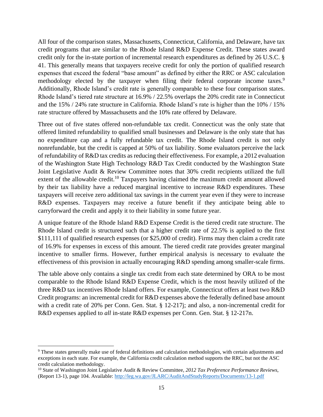All four of the comparison states, Massachusetts, Connecticut, California, and Delaware, have tax credit programs that are similar to the Rhode Island R&D Expense Credit. These states award credit only for the in-state portion of incremental research expenditures as defined by 26 U.S.C. § 41. This generally means that taxpayers receive credit for only the portion of qualified research expenses that exceed the federal "base amount" as defined by either the RRC or ASC calculation methodology elected by the taxpayer when filing their federal corporate income taxes.<sup>9</sup> Additionally, Rhode Island's credit rate is generally comparable to these four comparison states. Rhode Island's tiered rate structure at 16.9% / 22.5% overlaps the 20% credit rate in Connecticut and the 15% / 24% rate structure in California. Rhode Island's rate is higher than the 10% / 15% rate structure offered by Massachusetts and the 10% rate offered by Delaware.

Three out of five states offered non-refundable tax credit. Connecticut was the only state that offered limited refundability to qualified small businesses and Delaware is the only state that has no expenditure cap and a fully refundable tax credit. The Rhode Island credit is not only nonrefundable, but the credit is capped at 50% of tax liability. Some evaluators perceive the lack of refundability of R&D tax credits as reducing their effectiveness. For example, a 2012 evaluation of the Washington State High Technology R&D Tax Credit conducted by the Washington State Joint Legislative Audit & Review Committee notes that 30% credit recipients utilized the full extent of the allowable credit.<sup>10</sup> Taxpayers having claimed the maximum credit amount allowed by their tax liability have a reduced marginal incentive to increase R&D expenditures. These taxpayers will receive zero additional tax savings in the current year even if they were to increase R&D expenses. Taxpayers may receive a future benefit if they anticipate being able to carryforward the credit and apply it to their liability in some future year.

A unique feature of the Rhode Island R&D Expense Credit is the tiered credit rate structure. The Rhode Island credit is structured such that a higher credit rate of 22.5% is applied to the first \$111,111 of qualified research expenses (or \$25,000 of credit). Firms may then claim a credit rate of 16.9% for expenses in excess of this amount. The tiered credit rate provides greater marginal incentive to smaller firms. However, further empirical analysis is necessary to evaluate the effectiveness of this provision in actually encouraging R&D spending among smaller-scale firms.

The table above only contains a single tax credit from each state determined by ORA to be most comparable to the Rhode Island R&D Expense Credit, which is the most heavily utilized of the three R&D tax incentives Rhode Island offers. For example, Connecticut offers at least two R&D Credit programs: an incremental credit for R&D expenses above the federally defined base amount with a credit rate of 20% per Conn. Gen. Stat. § 12-217; and also, a non-incremental credit for R&D expenses applied to *all* in-state R&D expenses per Conn. Gen. Stat. § 12-217n.

<sup>9</sup> These states generally make use of federal definitions and calculation methodologies, with certain adjustments and exceptions in each state. For example, the California credit calculation method supports the RRC, but not the ASC credit calculation methodology.

<sup>10</sup> State of Washington Joint Legislative Audit & Review Committee, *2012 Tax Preference Performance Reviews*, (Report 13-1), page 104. Available:<http://leg.wa.gov/JLARC/AuditAndStudyReports/Documents/13-1.pdf>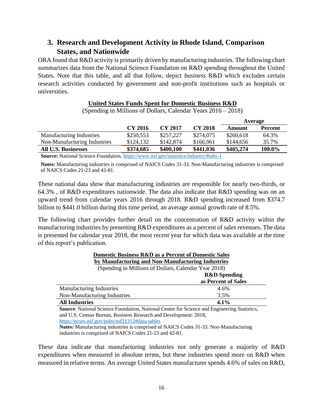# <span id="page-15-0"></span>**3. Research and Development Activity in Rhode Island, Comparison States, and Nationwide**

ORA found that R&D activity is primarily driven by manufacturing industries. The following chart summarizes data from the National Science Foundation on R&D spending throughout the United States. Note that this table, and all that follow, depict *business* R&D which excludes certain research activities conducted by government and non-profit institutions such as hospitals or universities.

#### **United States Funds Spent for Domestic Business R&D**

(Spending in Millions of Dollars, Calendar Years 2016 – 2018)

|                                                                                          |           |           |                | Average   |                |  |
|------------------------------------------------------------------------------------------|-----------|-----------|----------------|-----------|----------------|--|
|                                                                                          | CY 2016   | CY 2017   | <b>CY 2018</b> | Amount    | <b>Percent</b> |  |
| <b>Manufacturing Industries</b>                                                          | \$250,553 | \$257,227 | \$274,075      | \$260,618 | 64.3%          |  |
| Non-Manufacturing Industries                                                             | \$124,132 | \$142,874 | \$166,961      | \$144,656 | 35.7%          |  |
| <b>All U.S. Businesses</b>                                                               | \$374,685 | \$400,100 | \$441,036      | \$405,274 | 100.0%         |  |
| <b>Course</b> Metional Coince Foundation https://www.nef.cou/statistics/industry/#tobe 1 |           |           |                |           |                |  |

**Source:** National Science Foundation,<https://www.nsf.gov/statistics/industry/#tabs-1>

**Notes:** Manufacturing industries is comprised of NAICS Codes 31-33. Non-Manufacturing industries is comprised of NAICS Codes 21-23 and 42-81.

These national data show that manufacturing industries are responsible for nearly two-thirds, or 64.3% , of R&D expenditures nationwide. The data also indicate that R&D spending was on an upward trend from calendar years 2016 through 2018. R&D spending increased from \$374.7 billion to \$441.0 billion during this time period, an average annual growth rate of 8.5%.

The following chart provides further detail on the concentration of R&D activity within the manufacturing industries by presenting R&D expenditures as a percent of sales revenues. The data is presented for calendar year 2018, the most recent year for which data was available at the time of this report's publication.

| <b>Domestic Business R&amp;D as a Percent of Domestic Sales</b> |                         |  |  |  |
|-----------------------------------------------------------------|-------------------------|--|--|--|
| by Manufacturing and Non-Manufacturing Industries               |                         |  |  |  |
| (Spending in Millions of Dollars, Calendar Year 2018)           |                         |  |  |  |
|                                                                 | <b>R&amp;D</b> Spending |  |  |  |
|                                                                 | as Percent of Sales     |  |  |  |
| <b>Manufacturing Industries</b>                                 | 4.6%                    |  |  |  |
| Non-Manufacturing Industries                                    | 3.5%                    |  |  |  |
| 4.1%<br><b>All Industries</b>                                   |                         |  |  |  |

**Source**: National Science Foundation, National Center for Science and Engineering Statistics, and U.S. Census Bureau, Business Research and Development: 2018,

<https://ncses.nsf.gov/pubs/nsf21312#data-tables>

**Notes:** Manufacturing industries is comprised of NAICS Codes 31-33. Non-Manufacturing industries is comprised of NAICS Codes 21-23 and 42-81.

These data indicate that manufacturing industries not only generate a majority of R&D expenditures when measured in absolute terms, but these industries spend more on R&D when measured in relative terms. An average United States manufacturer spends 4.6% of sales on R&D,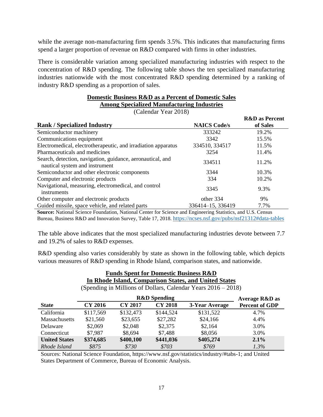while the average non-manufacturing firm spends 3.5%. This indicates that manufacturing firms spend a larger proportion of revenue on R&D compared with firms in other industries.

There is considerable variation among specialized manufacturing industries with respect to the concentration of R&D spending. The following table shows the ten specialized manufacturing industries nationwide with the most concentrated R&D spending determined by a ranking of industry R&D spending as a proportion of sales.

| <b>Domestic Business R&amp;D as a Percent of Domestic Sales</b> |
|-----------------------------------------------------------------|
| <b>Among Specialized Manufacturing Industries</b>               |

(Calendar Year 2018)

|                                                                                              |                     | <b>R&amp;D</b> as Percent |
|----------------------------------------------------------------------------------------------|---------------------|---------------------------|
| <b>Rank / Specialized Industry</b>                                                           | <b>NAICS Code/s</b> | of Sales                  |
| Semiconductor machinery                                                                      | 333242              | 19.2%                     |
| Communications equipment                                                                     | 3342                | 15.5%                     |
| Electromedical, electrotherapeutic, and irradiation apparatus                                | 334510, 334517      | 11.5%                     |
| Pharmaceuticals and medicines                                                                | 3254                | 11.4%                     |
| Search, detection, navigation, guidance, aeronautical, and<br>nautical system and instrument | 334511              | 11.2%                     |
| Semiconductor and other electronic components                                                | 3344                | 10.3%                     |
| Computer and electronic products                                                             | 334                 | 10.2%                     |
| Navigational, measuring, electromedical, and control<br>instruments                          | 3345                | 9.3%                      |
| Other computer and electronic products                                                       | other 334           | 9%                        |
| Guided missile, space vehicle, and related parts                                             | 336414-15, 336419   | 7.7%                      |

**Source:** National Science Foundation, National Center for Science and Engineering Statistics, and U.S. Census Bureau, Business R&D and Innovation Survey, Table 17, 2018. <https://ncses.nsf.gov/pubs/nsf21312#data-tables>

The table above indicates that the most specialized manufacturing industries devote between 7.7 and 19.2% of sales to R&D expenses.

R&D spending also varies considerably by state as shown in the following table, which depicts various measures of R&D spending in Rhode Island, comparison states, and nationwide.

| <b>Funds Spent for Domestic Business R&amp;D</b>      |                                                  |                |                         |                                                                  |                       |  |  |
|-------------------------------------------------------|--------------------------------------------------|----------------|-------------------------|------------------------------------------------------------------|-----------------------|--|--|
| In Rhode Island, Comparison States, and United States |                                                  |                |                         |                                                                  |                       |  |  |
|                                                       |                                                  |                |                         | (Spending in Millions of Dollars, Calendar Years $2016 - 2018$ ) |                       |  |  |
|                                                       |                                                  |                | <b>R&amp;D</b> Spending |                                                                  | Average R&D as        |  |  |
| <b>State</b>                                          | <b>CY 2016</b>                                   | <b>CY 2017</b> | <b>CY 2018</b>          | 3-Year Average                                                   | <b>Percent of GDP</b> |  |  |
| California                                            | \$117,569                                        | \$132,473      | \$144,524               | \$131,522                                                        | 4.7%                  |  |  |
| Massachusetts                                         | \$21,560                                         | \$23,655       | \$27,282                | \$24,166                                                         | 4.4%                  |  |  |
| Delaware                                              | \$2,069                                          | \$2,048        | \$2,375                 | \$2,164                                                          | 3.0%                  |  |  |
| Connecticut                                           | \$7,987<br>\$8,056<br>\$8,694<br>\$7,488<br>3.0% |                |                         |                                                                  |                       |  |  |
| <b>United States</b>                                  | \$374,685                                        | \$400,100      | \$441,036               | \$405,274                                                        | $2.1\%$               |  |  |
| Rhode Island                                          | \$875                                            | \$730          | \$703                   | \$769                                                            | $1.3\%$               |  |  |

Sources: National Science Foundation, https://www.nsf.gov/statistics/industry/#tabs-1; and United States Department of Commerce, Bureau of Economic Analysis.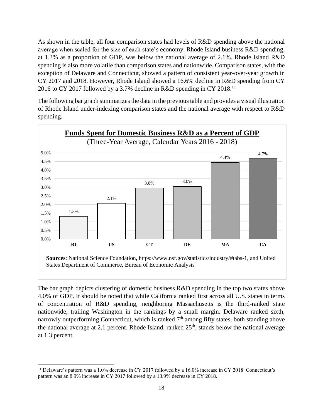As shown in the table, all four comparison states had levels of R&D spending above the national average when scaled for the size of each state's economy. Rhode Island business R&D spending, at 1.3% as a proportion of GDP, was below the national average of 2.1%. Rhode Island R&D spending is also more volatile than comparison states and nationwide. Comparison states, with the exception of Delaware and Connecticut, showed a pattern of consistent year-over-year growth in CY 2017 and 2018. However, Rhode Island showed a 16.6% decline in R&D spending from CY 2016 to CY 2017 followed by a 3.7% decline in R&D spending in CY 2018.<sup>11</sup>

The following bar graph summarizes the data in the previous table and provides a visual illustration of Rhode Island under-indexing comparison states and the national average with respect to R&D spending.



The bar graph depicts clustering of domestic business R&D spending in the top two states above 4.0% of GDP. It should be noted that while California ranked first across all U.S. states in terms of concentration of R&D spending, neighboring Massachusetts is the third-ranked state nationwide, trailing Washington in the rankings by a small margin. Delaware ranked sixth, narrowly outperforming Connecticut, which is ranked  $7<sup>th</sup>$  among fifty states, both standing above the national average at 2.1 percent. Rhode Island, ranked  $25<sup>th</sup>$ , stands below the national average at 1.3 percent.

<sup>&</sup>lt;sup>11</sup> Delaware's pattern was a 1.0% decrease in CY 2017 followed by a 16.0% increase in CY 2018. Connecticut's pattern was an 8.9% increase in CY 2017 followed by a 13.9% decrease in CY 2018.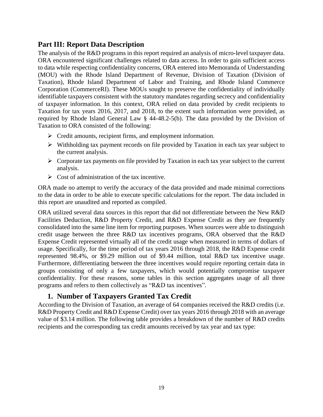# <span id="page-18-0"></span>**Part III: Report Data Description**

The analysis of the R&D programs in this report required an analysis of micro-level taxpayer data. ORA encountered significant challenges related to data access. In order to gain sufficient access to data while respecting confidentiality concerns, ORA entered into Memoranda of Understanding (MOU) with the Rhode Island Department of Revenue, Division of Taxation (Division of Taxation), Rhode Island Department of Labor and Training, and Rhode Island Commerce Corporation (CommerceRI). These MOUs sought to preserve the confidentiality of individually identifiable taxpayers consistent with the statutory mandates regarding secrecy and confidentiality of taxpayer information. In this context, ORA relied on data provided by credit recipients to Taxation for tax years 2016, 2017, and 2018, to the extent such information were provided, as required by Rhode Island General Law § 44-48.2-5(b). The data provided by the Division of Taxation to ORA consisted of the following:

- ➢ Credit amounts, recipient firms, and employment information.
- ➢ Withholding tax payment records on file provided by Taxation in each tax year subject to the current analysis.
- $\triangleright$  Corporate tax payments on file provided by Taxation in each tax year subject to the current analysis.
- $\triangleright$  Cost of administration of the tax incentive.

ORA made no attempt to verify the accuracy of the data provided and made minimal corrections to the data in order to be able to execute specific calculations for the report. The data included in this report are unaudited and reported as compiled.

ORA utilized several data sources in this report that did not differentiate between the New R&D Facilities Deduction, R&D Property Credit, and R&D Expense Credit as they are frequently consolidated into the same line item for reporting purposes. When sources were able to distinguish credit usage between the three R&D tax incentives programs, ORA observed that the R&D Expense Credit represented virtually all of the credit usage when measured in terms of dollars of usage. Specifically, for the time period of tax years 2016 through 2018, the R&D Expense credit represented 98.4%, or \$9.29 million out of \$9.44 million, total R&D tax incentive usage. Furthermore, differentiating between the three incentives would require reporting certain data in groups consisting of only a few taxpayers, which would potentially compromise taxpayer confidentiality. For these reasons, some tables in this section aggregates usage of all three programs and refers to them collectively as "R&D tax incentives".

## **1. Number of Taxpayers Granted Tax Credit**

<span id="page-18-1"></span>According to the Division of Taxation, an average of 64 companies received the R&D credits (i.e. R&D Property Credit and R&D Expense Credit) over tax years 2016 through 2018 with an average value of \$3.14 million. The following table provides a breakdown of the number of R&D credits recipients and the corresponding tax credit amounts received by tax year and tax type: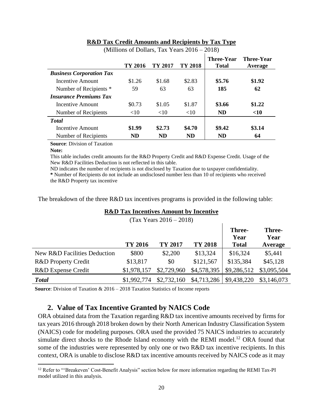|                                 | TY 2016   | TY 2017 | TY 2018 | <b>Three-Year</b><br><b>Total</b> | <b>Three-Year</b><br>Average |
|---------------------------------|-----------|---------|---------|-----------------------------------|------------------------------|
| <b>Business Corporation Tax</b> |           |         |         |                                   |                              |
| Incentive Amount                | \$1.26    | \$1.68  | \$2.83  | \$5.76                            | \$1.92                       |
| Number of Recipients *          | 59        | 63      | 63      | 185                               | 62                           |
| <b>Insurance Premiums Tax</b>   |           |         |         |                                   |                              |
| Incentive Amount                | \$0.73    | \$1.05  | \$1.87  | \$3.66                            | \$1.22                       |
| Number of Recipients            | <10       | <10     | <10     | <b>ND</b>                         | < 10                         |
| <b>T</b> otal                   |           |         |         |                                   |                              |
| <b>Incentive Amount</b>         | \$1.99    | \$2.73  | \$4.70  | \$9.42                            | \$3.14                       |
| Number of Recipients            | <b>ND</b> | ND      | ND      | ND                                | 64                           |

#### **R&D Tax Credit Amounts and Recipients by Tax Type** (Millions of Dollars, Tax Years 2016 – 2018)

**Source**: Division of Taxation

#### **Note:**

This table includes credit amounts for the R&D Property Credit and R&D Expense Credit. Usage of the New R&D Facilities Deduction is not reflected in this table.

ND indicates the number of recipients is not disclosed by Taxation due to taxpayer confidentiality. **\*** Number of Recipients do not include an undisclosed number less than 10 of recipients who received the R&D Property tax incentive

The breakdown of the three R&D tax incentives programs is provided in the following table:

#### **R&D Tax Incentives Amount by Incentive**

**TY 2016 TY 2017 TY 2018 Three-Year Total Three-Year Average** New R&D Facilities Deduction  $$800 \t$2,200 \t$13,324 \t$16,324 \t$5,441$ R&D Property Credit  $$13,817$   $$0$   $$121,567$   $$135,384$   $$45,128$ R&D Expense Credit \$1,978,157 \$2,729,960 \$4,578,395 \$9,286,512 \$3,095,504 **Total** \$1,992,774 \$2,732,160 \$4,713,286 \$9,438,220 \$3,146,073

(Tax Years 2016 – 2018)

**Source**: Division of Taxation & 2016 – 2018 Taxation Statistics of Income reports

#### **2. Value of Tax Incentive Granted by NAICS Code**

<span id="page-19-0"></span>ORA obtained data from the Taxation regarding R&D tax incentive amounts received by firms for tax years 2016 through 2018 broken down by their North American Industry Classification System (NAICS) code for modeling purposes. ORA used the provided 75 NAICS industries to accurately simulate direct shocks to the Rhode Island economy with the REMI model.<sup>12</sup> ORA found that some of the industries were represented by only one or two R&D tax incentive recipients. In this context, ORA is unable to disclose R&D tax incentive amounts received by NAICS code as it may

<sup>&</sup>lt;sup>12</sup> Refer to "'Breakeven' Cost-Benefit Analysis" section below for more information regarding the REMI Tax-PI model utilized in this analysis.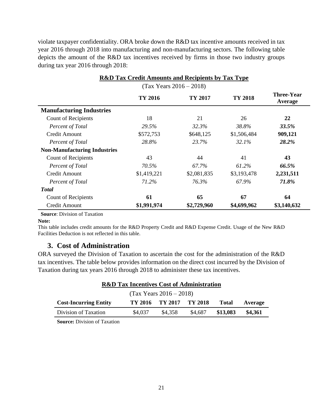violate taxpayer confidentiality. ORA broke down the R&D tax incentive amounts received in tax year 2016 through 2018 into manufacturing and non-manufacturing sectors. The following table depicts the amount of the R&D tax incentives received by firms in those two industry groups during tax year 2016 through 2018:

|                                     | <b>R&amp;D Tax Credit Amounts and Recipients by Tax Type</b> |             |             |                              |  |  |  |  |
|-------------------------------------|--------------------------------------------------------------|-------------|-------------|------------------------------|--|--|--|--|
|                                     | $(Tax Years 2016 - 2018)$                                    |             |             |                              |  |  |  |  |
|                                     | TY 2016                                                      | TY 2017     | TY 2018     | <b>Three-Year</b><br>Average |  |  |  |  |
| <b>Manufacturing Industries</b>     |                                                              |             |             |                              |  |  |  |  |
| <b>Count of Recipients</b>          | 18                                                           | 21          | 26          | 22                           |  |  |  |  |
| Percent of Total                    | 29.5%                                                        | 32.3%       | 38.8%       | 33.5%                        |  |  |  |  |
| Credit Amount                       | \$572,753                                                    | \$648,125   | \$1,506,484 | 909,121                      |  |  |  |  |
| Percent of Total                    | 28.8%                                                        | 23.7%       | 32.1%       | 28.2%                        |  |  |  |  |
| <b>Non-Manufacturing Industries</b> |                                                              |             |             |                              |  |  |  |  |
| Count of Recipients                 | 43                                                           | 44          | 41          | 43                           |  |  |  |  |
| Percent of Total                    | 70.5%                                                        | 67.7%       | 61.2%       | 66.5%                        |  |  |  |  |
| <b>Credit Amount</b>                | \$1,419,221                                                  | \$2,081,835 | \$3,193,478 | 2,231,511                    |  |  |  |  |
| Percent of Total                    | 71.2%                                                        | 76.3%       | 67.9%       | 71.8%                        |  |  |  |  |
| <b>Total</b>                        |                                                              |             |             |                              |  |  |  |  |
| <b>Count of Recipients</b>          | 61                                                           | 65          | 67          | 64                           |  |  |  |  |
| Credit Amount                       | \$1,991,974                                                  | \$2,729,960 | \$4,699,962 | \$3,140,632                  |  |  |  |  |

**Source**: Division of Taxation

#### **Note:**

This table includes credit amounts for the R&D Property Credit and R&D Expense Credit. Usage of the New R&D Facilities Deduction is not reflected in this table.

#### **3. Cost of Administration**

<span id="page-20-0"></span>ORA surveyed the Division of Taxation to ascertain the cost for the administration of the R&D tax incentives. The table below provides information on the direct cost incurred by the Division of Taxation during tax years 2016 through 2018 to administer these tax incentives.

| <b>R&amp;D Tax Incentives Cost of Administration</b>                               |  |  |  |  |  |  |  |
|------------------------------------------------------------------------------------|--|--|--|--|--|--|--|
| $(Tax Years 2016 - 2018)$                                                          |  |  |  |  |  |  |  |
| <b>Cost-Incurring Entity</b><br>TY 2016 TY 2017 TY 2018<br><b>Total</b><br>Average |  |  |  |  |  |  |  |
| \$13,083<br>\$4,037<br>\$4,358<br>\$4.687<br>\$4,361<br>Division of Taxation       |  |  |  |  |  |  |  |

**Source:** Division of Taxation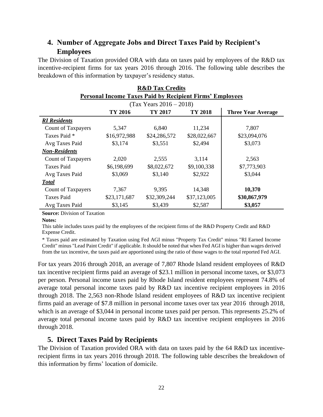# <span id="page-21-0"></span>**4. Number of Aggregate Jobs and Direct Taxes Paid by Recipient's Employees**

The Division of Taxation provided ORA with data on taxes paid by employees of the R&D tax incentive-recipient firms for tax years 2016 through 2016. The following table describes the breakdown of this information by taxpayer's residency status.

| <b>R&amp;D Tax Credits</b>                                      |                                                            |                           |              |              |  |  |  |  |  |
|-----------------------------------------------------------------|------------------------------------------------------------|---------------------------|--------------|--------------|--|--|--|--|--|
| <b>Personal Income Taxes Paid by Recipient Firms' Employees</b> |                                                            |                           |              |              |  |  |  |  |  |
|                                                                 |                                                            | $(Tax Years 2016 - 2018)$ |              |              |  |  |  |  |  |
|                                                                 | TY 2016<br>TY 2018<br>TY 2017<br><b>Three Year Average</b> |                           |              |              |  |  |  |  |  |
| <b>RI</b> Residents                                             |                                                            |                           |              |              |  |  |  |  |  |
| <b>Count of Taxpayers</b>                                       | 5,347                                                      | 6,840                     | 11,234       | 7,807        |  |  |  |  |  |
| Taxes Paid *                                                    | \$16,972,988                                               | \$24,286,572              | \$28,022,667 | \$23,094,076 |  |  |  |  |  |
| Avg Taxes Paid                                                  | \$3,174                                                    | \$3,551                   | \$2,494      | \$3,073      |  |  |  |  |  |
| <b>Non-Residents</b>                                            |                                                            |                           |              |              |  |  |  |  |  |
| <b>Count of Taxpayers</b>                                       | 2,020                                                      | 2,555                     | 3,114        | 2,563        |  |  |  |  |  |
| <b>Taxes Paid</b>                                               | \$6,198,699                                                | \$8,022,672               | \$9,100,338  | \$7,773,903  |  |  |  |  |  |
| Avg Taxes Paid                                                  | \$3,069                                                    | \$3,140                   | \$2,922      | \$3,044      |  |  |  |  |  |
| <b>Total</b>                                                    |                                                            |                           |              |              |  |  |  |  |  |
| <b>Count of Taxpayers</b>                                       | 7,367                                                      | 9,395                     | 14,348       | 10,370       |  |  |  |  |  |
| <b>Taxes Paid</b>                                               | \$23,171,687                                               | \$32,309,244              | \$37,123,005 | \$30,867,979 |  |  |  |  |  |
| Avg Taxes Paid                                                  | \$3,145                                                    | \$3,439                   | \$2,587      | \$3,057      |  |  |  |  |  |

**Source:** Division of Taxation

#### **Notes:**

This table includes taxes paid by the employees of the recipient firms of the R&D Property Credit and R&D Expense Credit.

\* Taxes paid are estimated by Taxation using Fed AGI minus "Property Tax Credit" minus "RI Earned Income Credit" minus "Lead Paint Credit" if applicable. It should be noted that when Fed AGI is higher than wages derived from the tax incentive, the taxes paid are apportioned using the ratio of those wages to the total reported Fed AGI.

For tax years 2016 through 2018, an average of 7,807 Rhode Island resident employees of R&D tax incentive recipient firms paid an average of \$23.1 million in personal income taxes, or \$3,073 per person. Personal income taxes paid by Rhode Island resident employees represent 74.8% of average total personal income taxes paid by R&D tax incentive recipient employees in 2016 through 2018. The 2,563 non-Rhode Island resident employees of R&D tax incentive recipient firms paid an average of \$7.8 million in personal income taxes over tax year 2016 through 2018, which is an average of \$3,044 in personal income taxes paid per person. This represents 25.2% of average total personal income taxes paid by R&D tax incentive recipient employees in 2016 through 2018.

#### **5. Direct Taxes Paid by Recipients**

<span id="page-21-1"></span>The Division of Taxation provided ORA with data on taxes paid by the 64 R&D tax incentiverecipient firms in tax years 2016 through 2018. The following table describes the breakdown of this information by firms' location of domicile.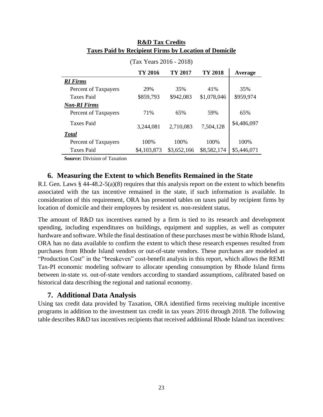|                      | (Tax Years 2016 - 2018) |             |             |             |
|----------------------|-------------------------|-------------|-------------|-------------|
|                      | TY 2016                 | TY 2017     | TY 2018     | Average     |
| <b>RI</b> Firms      |                         |             |             |             |
| Percent of Taxpayers | 29%                     | 35%         | 41%         | 35%         |
| <b>Taxes Paid</b>    | \$859,793               | \$942,083   | \$1,078,046 | \$959,974   |
| <b>Non-RI Firms</b>  |                         |             |             |             |
| Percent of Taxpayers | 71%                     | 65%         | 59%         | 65%         |
| <b>Taxes Paid</b>    | 3,244,081               | 2,710,083   | 7,504,128   | \$4,486,097 |
| <b>Total</b>         |                         |             |             |             |
| Percent of Taxpayers | 100%                    | 100\%       | 100\%       | 100%        |
| <b>Taxes Paid</b>    | \$4,103,873             | \$3,652,166 | \$8,582,174 | \$5,446,071 |

#### **R&D Tax Credits Taxes Paid by Recipient Firms by Location of Domicile**

**Source:** Division of Taxation

#### **6. Measuring the Extent to which Benefits Remained in the State**

<span id="page-22-0"></span>R.I. Gen. Laws § 44-48.2-5(a)(8) requires that this analysis report on the extent to which benefits associated with the tax incentive remained in the state, if such information is available. In consideration of this requirement, ORA has presented tables on taxes paid by recipient firms by location of domicile and their employees by resident *vs.* non-resident status.

The amount of R&D tax incentives earned by a firm is tied to its research and development spending, including expenditures on buildings, equipment and supplies, as well as computer hardware and software. While the final destination of these purchases must be within Rhode Island, ORA has no data available to confirm the extent to which these research expenses resulted from purchases from Rhode Island vendors or out-of-state vendors. These purchases are modeled as "Production Cost" in the "breakeven" cost-benefit analysis in this report, which allows the REMI Tax-PI economic modeling software to allocate spending consumption by Rhode Island firms between in-state *vs*. out-of-state vendors according to standard assumptions, calibrated based on historical data describing the regional and national economy.

#### **7. Additional Data Analysis**

<span id="page-22-1"></span>Using tax credit data provided by Taxation, ORA identified firms receiving multiple incentive programs in addition to the investment tax credit in tax years 2016 through 2018. The following table describes R&D tax incentives recipients that received additional Rhode Island tax incentives: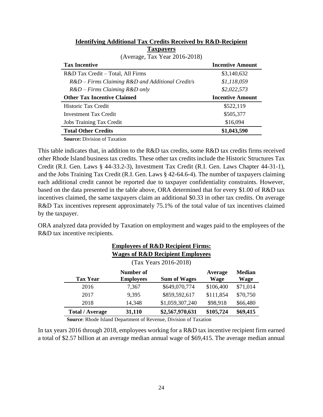| (Average, Tax Year 2016-2018)                                     |                         |
|-------------------------------------------------------------------|-------------------------|
| <b>Tax Incentive</b>                                              | <b>Incentive Amount</b> |
| R&D Tax Credit – Total, All Firms                                 | \$3,140,632             |
| $R&D - Firms \, Claining \, R&D \, and \, Additional \, Credit/s$ | \$1,118,059             |
| $R&D - Firms \, Claiming \, R&D \, only$                          | \$2,022,573             |
| <b>Other Tax Incentive Claimed</b>                                | <b>Incentive Amount</b> |
|                                                                   |                         |
| Historic Tax Credit                                               | \$522,119               |
| Investment Tax Credit                                             | \$505,377               |
| <b>Jobs Training Tax Credit</b>                                   | \$16,094                |
| <b>Total Other Credits</b>                                        | \$1,043,590             |

#### **Identifying Additional Tax Credits Received by R&D-Recipient Taxpayers**

**Source:** Division of Taxation

This table indicates that, in addition to the R&D tax credits, some R&D tax credits firms received other Rhode Island business tax credits. These other tax credits include the Historic Structures Tax Credit (R.I. Gen. Laws § 44-33.2-3), Investment Tax Credit (R.I. Gen. Laws Chapter 44-31-1), and the Jobs Training Tax Credit (R.I. Gen. Laws § 42-64.6-4). The number of taxpayers claiming each additional credit cannot be reported due to taxpayer confidentiality constraints. However, based on the data presented in the table above, ORA determined that for every \$1.00 of R&D tax incentives claimed, the same taxpayers claim an additional \$0.33 in other tax credits. On average R&D Tax incentives represent approximately 75.1% of the total value of tax incentives claimed by the taxpayer.

ORA analyzed data provided by Taxation on employment and wages paid to the employees of the R&D tax incentive recipients.

|                        |                               | <b>Employees of R&amp;D Recipient Firms:</b> |                 |                       |
|------------------------|-------------------------------|----------------------------------------------|-----------------|-----------------------|
|                        |                               | <b>Wages of R&amp;D Recipient Employees</b>  |                 |                       |
|                        |                               | (Tax Years 2016-2018)                        |                 |                       |
| <b>Tax Year</b>        | Number of<br><b>Employees</b> | <b>Sum of Wages</b>                          | Average<br>Wage | <b>Median</b><br>Wage |
| 2016                   | 7.367                         | \$649,070,774                                | \$106,400       | \$71,014              |
| 2017                   | 9,395                         | \$859,592,617                                | \$111,854       | \$70,750              |
| 2018                   | 14,348                        | \$1,059,307,240                              | \$98,918        | \$66,480              |
| <b>Total / Average</b> | 31,110                        | \$2,567,970,631                              | \$105,724       | \$69,415              |

**Source**: Rhode Island Department of Revenue, Division of Taxation

In tax years 2016 through 2018, employees working for a R&D tax incentive recipient firm earned a total of \$2.57 billion at an average median annual wage of \$69,415. The average median annual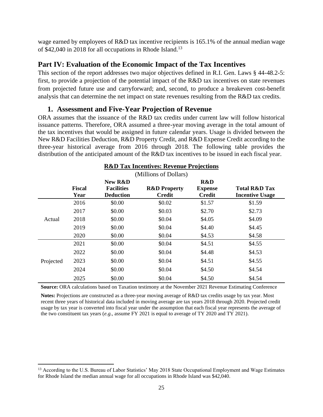wage earned by employees of R&D tax incentive recipients is 165.1% of the annual median wage of \$42,040 in 2018 for all occupations in Rhode Island.<sup>13</sup>

## <span id="page-24-0"></span>**Part IV: Evaluation of the Economic Impact of the Tax Incentives**

This section of the report addresses two major objectives defined in R.I. Gen. Laws § 44-48.2-5: first, to provide a projection of the potential impact of the R&D tax incentives on state revenues from projected future use and carryforward; and, second, to produce a breakeven cost-benefit analysis that can determine the net impact on state revenues resulting from the R&D tax credits.

#### **1. Assessment and Five-Year Projection of Revenue**

<span id="page-24-1"></span>ORA assumes that the issuance of the R&D tax credits under current law will follow historical issuance patterns. Therefore, ORA assumed a three-year moving average in the total amount of the tax incentives that would be assigned in future calendar years. Usage is divided between the New R&D Facilities Deduction, R&D Property Credit, and R&D Expense Credit according to the three-year historical average from 2016 through 2018. The following table provides the distribution of the anticipated amount of the R&D tax incentives to be issued in each fiscal year.

|           |                       |                                                  | (Millions of Dollars)                    |                                        |                                                    |
|-----------|-----------------------|--------------------------------------------------|------------------------------------------|----------------------------------------|----------------------------------------------------|
|           | <b>Fiscal</b><br>Year | New R&D<br><b>Facilities</b><br><b>Deduction</b> | <b>R&amp;D Property</b><br><b>Credit</b> | R&D<br><b>Expense</b><br><b>Credit</b> | <b>Total R&amp;D Tax</b><br><b>Incentive Usage</b> |
|           | 2016                  | \$0.00                                           | \$0.02                                   | \$1.57                                 | \$1.59                                             |
|           | 2017                  | \$0.00                                           | \$0.03                                   | \$2.70                                 | \$2.73                                             |
| Actual    | 2018                  | \$0.00                                           | \$0.04                                   | \$4.05                                 | \$4.09                                             |
|           | 2019                  | \$0.00                                           | \$0.04                                   | \$4.40                                 | \$4.45                                             |
|           | 2020                  | \$0.00                                           | \$0.04                                   | \$4.53                                 | \$4.58                                             |
|           | 2021                  | \$0.00                                           | \$0.04                                   | \$4.51                                 | \$4.55                                             |
|           | 2022                  | \$0.00                                           | \$0.04                                   | \$4.48                                 | \$4.53                                             |
| Projected | 2023                  | \$0.00                                           | \$0.04                                   | \$4.51                                 | \$4.55                                             |
|           | 2024                  | \$0.00                                           | \$0.04                                   | \$4.50                                 | \$4.54                                             |
|           | 2025                  | \$0.00                                           | \$0.04                                   | \$4.50                                 | \$4.54                                             |

## **R&D Tax Incentives: Revenue Projections**

**Source:** ORA calculations based on Taxation testimony at the November 2021 Revenue Estimating Conference

**Notes:** Projections are constructed as a three-year moving average of R&D tax credits usage by tax year. Most recent three years of historical data included in moving average are tax years 2018 through 2020. Projected credit usage by tax year is converted into fiscal year under the assumption that each fiscal year represents the average of the two constituent tax years (*e.g.*, assume FY 2021 is equal to average of TY 2020 and TY 2021).

<sup>&</sup>lt;sup>13</sup> According to the U.S. Bureau of Labor Statistics' May 2018 State Occupational Employment and Wage Estimates for Rhode Island the median annual wage for all occupations in Rhode Island was \$42,040.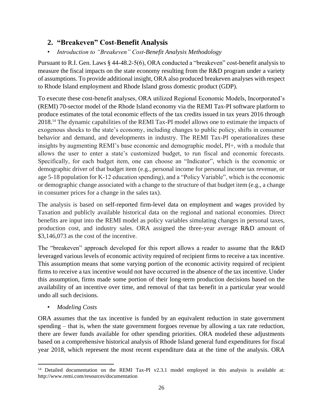## <span id="page-25-0"></span>**2. "Breakeven" Cost-Benefit Analysis**

#### <span id="page-25-1"></span>• *Introduction to "Breakeven" Cost-Benefit Analysis Methodology*

Pursuant to R.I. Gen. Laws § 44-48.2-5(6), ORA conducted a "breakeven" cost-benefit analysis to measure the fiscal impacts on the state economy resulting from the R&D program under a variety of assumptions. To provide additional insight, ORA also produced breakeven analyses with respect to Rhode Island employment and Rhode Island gross domestic product (GDP).

To execute these cost-benefit analyses, ORA utilized Regional Economic Models, Incorporated's (REMI) 70-sector model of the Rhode Island economy via the REMI Tax-PI software platform to produce estimates of the total economic effects of the tax credits issued in tax years 2016 through 2018.<sup>14</sup> The dynamic capabilities of the REMI Tax-PI model allows one to estimate the impacts of exogenous shocks to the state's economy, including changes to public policy, shifts in consumer behavior and demand, and developments in industry. The REMI Tax-PI operationalizes these insights by augmenting REMI's base economic and demographic model, PI+, with a module that allows the user to enter a state's customized budget, to run fiscal and economic forecasts. Specifically, for each budget item, one can choose an "Indicator", which is the economic or demographic driver of that budget item (e.g., personal income for personal income tax revenue, or age 5-18 population for K-12 education spending), and a "Policy Variable", which is the economic or demographic change associated with a change to the structure of that budget item (e.g., a change in consumer prices for a change in the sales tax).

The analysis is based on self-reported firm-level data on employment and wages provided by Taxation and publicly available historical data on the regional and national economies. Direct benefits are input into the REMI model as policy variables simulating changes in personal taxes, production cost, and industry sales. ORA assigned the three-year average R&D amount of \$3,146,073 as the cost of the incentive.

The "breakeven" approach developed for this report allows a reader to assume that the R&D leveraged various levels of economic activity required of recipient firms to receive a tax incentive. This assumption means that some varying portion of the economic activity required of recipient firms to receive a tax incentive would not have occurred in the absence of the tax incentive. Under this assumption, firms made some portion of their long-term production decisions based on the availability of an incentive over time, and removal of that tax benefit in a particular year would undo all such decisions.

<span id="page-25-2"></span>• *Modeling Costs*

ORA assumes that the tax incentive is funded by an equivalent reduction in state government spending – that is, when the state government forgoes revenue by allowing a tax rate reduction, there are fewer funds available for other spending priorities. ORA modeled these adjustments based on a comprehensive historical analysis of Rhode Island general fund expenditures for fiscal year 2018, which represent the most recent expenditure data at the time of the analysis. ORA

<sup>&</sup>lt;sup>14</sup> Detailed documentation on the REMI Tax-PI v2.3.1 model employed in this analysis is available at: http://www.remi.com/resources/documentation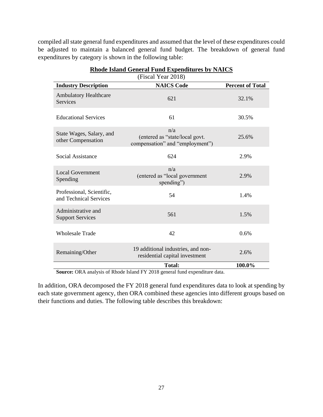compiled all state general fund expenditures and assumed that the level of these expenditures could be adjusted to maintain a balanced general fund budget. The breakdown of general fund expenditures by category is shown in the following table:

|                                                     | (Fiscal Year 2018)                                                       |                         |
|-----------------------------------------------------|--------------------------------------------------------------------------|-------------------------|
| <b>Industry Description</b>                         | <b>NAICS Code</b>                                                        | <b>Percent of Total</b> |
| <b>Ambulatory Healthcare</b><br><b>Services</b>     | 621                                                                      | 32.1%                   |
| <b>Educational Services</b>                         | 61                                                                       | 30.5%                   |
| State Wages, Salary, and<br>other Compensation      | n/a<br>(entered as "state/local govt.<br>compensation" and "employment") | 25.6%                   |
| Social Assistance                                   | 624                                                                      | 2.9%                    |
| <b>Local Government</b><br>Spending                 | n/a<br>(entered as "local government<br>spending")                       | 2.9%                    |
| Professional, Scientific,<br>and Technical Services | 54                                                                       | 1.4%                    |
| Administrative and<br><b>Support Services</b>       | 561                                                                      | 1.5%                    |
| <b>Wholesale Trade</b>                              | 42                                                                       | 0.6%                    |
| Remaining/Other                                     | 19 additional industries, and non-<br>residential capital investment     | 2.6%                    |
|                                                     | <b>Total:</b>                                                            | 100.0%                  |

#### **Rhode Island General Fund Expenditures by NAICS**

**Source:** ORA analysis of Rhode Island FY 2018 general fund expenditure data.

In addition, ORA decomposed the FY 2018 general fund expenditures data to look at spending by each state government agency, then ORA combined these agencies into different groups based on their functions and duties. The following table describes this breakdown: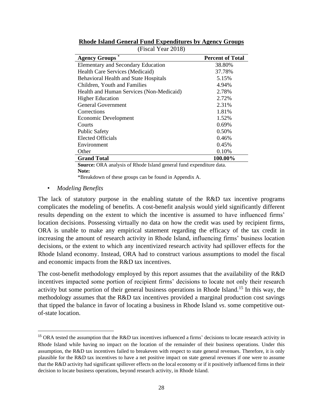| <b>Agency Groups</b>                         | <b>Percent of Total</b> |
|----------------------------------------------|-------------------------|
| <b>Elementary and Secondary Education</b>    | 38.80%                  |
| Health Care Services (Medicaid)              | 37.78%                  |
| <b>Behavioral Health and State Hospitals</b> | 5.15%                   |
| Children, Youth and Families                 | 4.94%                   |
| Health and Human Services (Non-Medicaid)     | 2.78%                   |
| <b>Higher Education</b>                      | 2.72%                   |
| <b>General Government</b>                    | 2.31%                   |
| Corrections                                  | 1.81%                   |
| Economic Development                         | 1.52%                   |
| Courts                                       | 0.69%                   |
| <b>Public Safety</b>                         | 0.50%                   |
| <b>Elected Officials</b>                     | 0.46%                   |
| Environment                                  | 0.45%                   |
| Other                                        | 0.10%                   |
| <b>Grand Total</b>                           | 100.00%                 |

| <b>Rhode Island General Fund Expenditures by Agency Groups</b> |  |                    |  |  |
|----------------------------------------------------------------|--|--------------------|--|--|
|                                                                |  | (Fiscal Year 2018) |  |  |

**Source:** ORA analysis of Rhode Island general fund expenditure data. **Note:**

\*Breakdown of these groups can be found in Appendix A.

<span id="page-27-0"></span>• *Modeling Benefits*

The lack of statutory purpose in the enabling statute of the R&D tax incentive programs complicates the modeling of benefits. A cost-benefit analysis would yield significantly different results depending on the extent to which the incentive is assumed to have influenced firms' location decisions. Possessing virtually no data on how the credit was used by recipient firms, ORA is unable to make any empirical statement regarding the efficacy of the tax credit in increasing the amount of research activity in Rhode Island, influencing firms' business location decisions, or the extent to which any incentivized research activity had spillover effects for the Rhode Island economy. Instead, ORA had to construct various assumptions to model the fiscal and economic impacts from the R&D tax incentives.

The cost-benefit methodology employed by this report assumes that the availability of the R&D incentives impacted some portion of recipient firms' decisions to locate not only their research activity but some portion of their general business operations in Rhode Island.<sup>15</sup> In this way, the methodology assumes that the R&D tax incentives provided a marginal production cost savings that tipped the balance in favor of locating a business in Rhode Island *vs*. some competitive outof-state location.

<sup>&</sup>lt;sup>15</sup> ORA tested the assumption that the R&D tax incentives influenced a firms' decisions to locate research activity in Rhode Island while having no impact on the location of the remainder of their business operations. Under this assumption, the R&D tax incentives failed to breakeven with respect to state general revenues. Therefore, it is only plausible for the R&D tax incentives to have a net positive impact on state general revenues if one were to assume that the R&D activity had significant spillover effects on the local economy or if it positively influenced firms in their decision to locate business operations, beyond research activity, in Rhode Island.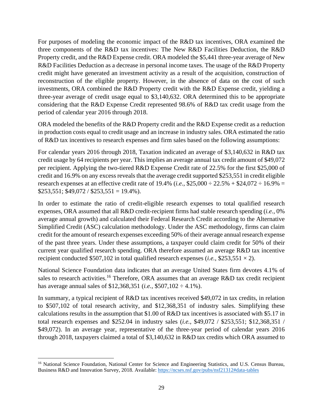For purposes of modeling the economic impact of the R&D tax incentives, ORA examined the three components of the R&D tax incentives: The New R&D Facilities Deduction, the R&D Property credit, and the R&D Expense credit. ORA modeled the \$5,441 three-year average of New R&D Facilities Deduction as a decrease in personal income taxes. The usage of the R&D Property credit might have generated an investment activity as a result of the acquisition, construction of reconstruction of the eligible property. However, in the absence of data on the cost of such investments, ORA combined the R&D Property credit with the R&D Expense credit, yielding a three-year average of credit usage equal to \$3,140,632. ORA determined this to be appropriate considering that the R&D Expense Credit represented 98.6% of R&D tax credit usage from the period of calendar year 2016 through 2018.

ORA modeled the benefits of the R&D Property credit and the R&D Expense credit as a reduction in production costs equal to credit usage and an increase in industry sales. ORA estimated the ratio of R&D tax incentives to research expenses and firm sales based on the following assumptions:

For calendar years 2016 through 2018, Taxation indicated an average of \$3,140,632 in R&D tax credit usage by 64 recipients per year. This implies an average annual tax credit amount of \$49,072 per recipient. Applying the two-tiered R&D Expense Credit rate of 22.5% for the first \$25,000 of credit and 16.9% on any excess reveals that the average credit supported \$253,551 in credit eligible research expenses at an effective credit rate of 19.4% (*i.e.*,  $$25,000 \div 22.5\% + $24,072 \div 16.9\% =$  $$253,551; $49,072 / $253,551 = 19.4\%$ .

In order to estimate the ratio of credit-eligible research expenses to total qualified research expenses, ORA assumed that all R&D credit-recipient firms had stable research spending (*i.e.*, 0% average annual growth) and calculated their Federal Research Credit according to the Alternative Simplified Credit (ASC) calculation methodology. Under the ASC methodology, firms can claim credit for the amount of research expenses exceeding 50% of their average annual research expense of the past three years. Under these assumptions, a taxpayer could claim credit for 50% of their current year qualified research spending. ORA therefore assumed an average R&D tax incentive recipient conducted  $$507,102$  in total qualified research expenses (*i.e.*,  $$253,551 \times 2$ ).

National Science Foundation data indicates that an average United States firm devotes 4.1% of sales to research activities.<sup>16</sup> Therefore, ORA assumes that an average R&D tax credit recipient has average annual sales of \$12,368,351 (*i.e.*, \$507,102 ÷ 4.1%).

In summary, a typical recipient of R&D tax incentives received \$49,072 in tax credits, in relation to \$507,102 of total research activity, and \$12,368,351 of industry sales. Simplifying these calculations results in the assumption that \$1.00 of R&D tax incentives is associated with \$5.17 in total research expenses and \$252.04 in industry sales (*i.e.*, \$49,072 / \$253,551; \$12,368,351 / \$49,072). In an average year, representative of the three-year period of calendar years 2016 through 2018, taxpayers claimed a total of \$3,140,632 in R&D tax credits which ORA assumed to

<sup>&</sup>lt;sup>16</sup> National Science Foundation, National Center for Science and Engineering Statistics, and U.S. Census Bureau, Business R&D and Innovation Survey, 2018. Available[: https://ncses.nsf.gov/pubs/nsf21312#data-tables](https://ncses.nsf.gov/pubs/nsf21312#data-tables)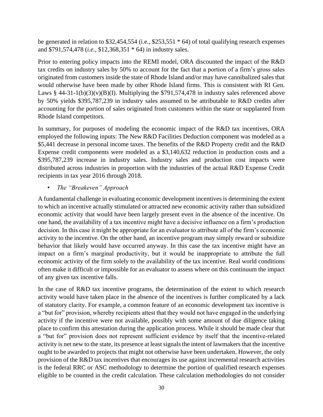be generated in relation to \$32,454,554 (i.e., \$253,551 \* 64) of total qualifying research expenses and \$791,574,478 (*i.e.,* \$12,368,351 \* 64) in industry sales.

Prior to entering policy impacts into the REMI model, ORA discounted the impact of the R&D tax credits on industry sales by 50% to account for the fact that a portion of a firm's gross sales originated from customers inside the state of Rhode Island and/or may have cannibalized sales that would otherwise have been made by other Rhode Island firms. This is consistent with RI Gen. Laws § 44-31-1(b)(3)(v)(B)(I). Multiplying the \$791,574,478 in industry sales referenced above by 50% yields \$395,787,239 in industry sales assumed to be attributable to R&D credits after accounting for the portion of sales originated from customers within the state or supplanted from Rhode Island competitors.

In summary, for purposes of modeling the economic impact of the R&D tax incentives, ORA employed the following inputs: The New R&D Facilities Deduction component was modeled as a \$5,441 decrease in personal income taxes. The benefits of the R&D Property credit and the R&D Expense credit components were modeled as a \$3,140,632 reduction in production costs and a \$395,787,239 increase in industry sales. Industry sales and production cost impacts were distributed across industries in proportion with the industries of the actual R&D Expense Credit recipients in tax year 2016 through 2018.

#### • *The "Breakeven" Approach*

<span id="page-29-0"></span>A fundamental challenge in evaluating economic development incentives is determining the extent to which an incentive actually stimulated or attracted new economic activity rather than subsidized economic activity that would have been largely present even in the absence of the incentive. On one hand, the availability of a tax incentive might have a decisive influence on a firm's production decision. In this case it might be appropriate for an evaluator to attribute all of the firm's economic activity to the incentive. On the other hand, an incentive program may simply reward or subsidize behavior that likely would have occurred anyway. In this case the tax incentive might have an impact on a firm's marginal productivity, but it would be inappropriate to attribute the full economic activity of the firm solely to the availability of the tax incentive. Real world conditions often make it difficult or impossible for an evaluator to assess where on this continuum the impact of any given tax incentive falls.

In the case of R&D tax incentive programs, the determination of the extent to which research activity would have taken place in the absence of the incentives is further complicated by a lack of statutory clarity. For example, a common feature of an economic development tax incentive is a "but for" provision, whereby recipients attest that they would not have engaged in the underlying activity if the incentive were not available, possibly with some amount of due diligence taking place to confirm this attestation during the application process. While it should be made clear that a "but for" provision does not represent sufficient evidence by itself that the incentive-related activity is net new to the state, its presence at least signals the intent of lawmakers that the incentive ought to be awarded to projects that might not otherwise have been undertaken. However, the only provision of the R&D tax incentives that encourages its use against incremental research activities is the federal RRC or ASC methodology to determine the portion of qualified research expenses eligible to be counted in the credit calculation. These calculation methodologies do not consider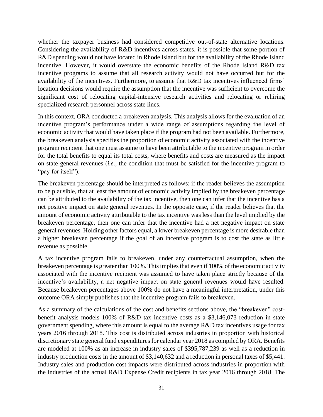whether the taxpayer business had considered competitive out-of-state alternative locations. Considering the availability of R&D incentives across states, it is possible that some portion of R&D spending would not have located in Rhode Island but for the availability of the Rhode Island incentive. However, it would overstate the economic benefits of the Rhode Island R&D tax incentive programs to assume that all research activity would not have occurred but for the availability of the incentives. Furthermore, to assume that R&D tax incentives influenced firms' location decisions would require the assumption that the incentive was sufficient to overcome the significant cost of relocating capital-intensive research activities and relocating or rehiring specialized research personnel across state lines.

In this context, ORA conducted a breakeven analysis. This analysis allows for the evaluation of an incentive program's performance under a wide range of assumptions regarding the level of economic activity that would have taken place if the program had not been available. Furthermore, the breakeven analysis specifies the proportion of economic activity associated with the incentive program recipient that one must assume to have been attributable to the incentive program in order for the total benefits to equal its total costs, where benefits and costs are measured as the impact on state general revenues (*i.e.*, the condition that must be satisfied for the incentive program to "pay for itself").

The breakeven percentage should be interpreted as follows: if the reader believes the assumption to be plausible, that at least the amount of economic activity implied by the breakeven percentage can be attributed to the availability of the tax incentive, then one can infer that the incentive has a net positive impact on state general revenues. In the opposite case, if the reader believes that the amount of economic activity attributable to the tax incentive was less than the level implied by the breakeven percentage, then one can infer that the incentive had a net negative impact on state general revenues. Holding other factors equal, a lower breakeven percentage is more desirable than a higher breakeven percentage if the goal of an incentive program is to cost the state as little revenue as possible.

A tax incentive program fails to breakeven, under any counterfactual assumption, when the breakeven percentage is greater than 100%. This implies that even if 100% of the economic activity associated with the incentive recipient was assumed to have taken place strictly because of the incentive's availability, a net negative impact on state general revenues would have resulted. Because breakeven percentages above 100% do not have a meaningful interpretation, under this outcome ORA simply publishes that the incentive program fails to breakeven.

As a summary of the calculations of the cost and benefits sections above, the "breakeven" costbenefit analysis models 100% of R&D tax incentive costs as a \$3,146,073 reduction in state government spending, where this amount is equal to the average R&D tax incentives usage for tax years 2016 through 2018. This cost is distributed across industries in proportion with historical discretionary state general fund expenditures for calendar year 2018 as compiled by ORA. Benefits are modeled at 100% as an increase in industry sales of \$395,787,239 as well as a reduction in industry production costs in the amount of \$3,140,632 and a reduction in personal taxes of \$5,441. Industry sales and production cost impacts were distributed across industries in proportion with the industries of the actual R&D Expense Credit recipients in tax year 2016 through 2018. The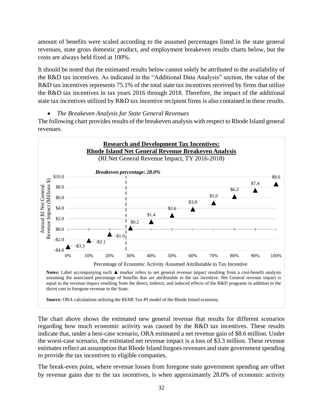amount of benefits were scaled according to the assumed percentages listed in the state general revenues, state gross domestic product, and employment breakeven results charts below, but the costs are always held fixed at 100%.

It should be noted that the estimated results below cannot solely be attributed to the availability of the R&D tax incentives. As indicated in the "Additional Data Analysis" section, the value of the R&D tax incentives represents 75.1% of the total state tax incentives received by firms that utilize the R&D tax incentives in tax years 2016 through 2018. Therefore, the impact of the additional state tax incentives utilized by R&D tax incentive recipient firms is also contained in these results.

• *The Breakeven Analysis for State General Revenues*

The following chart provides results of the breakeven analysis with respect to Rhode Island general revenues.



**Notes:** Label accompanying each ▲ marker refers to net general revenue impact resulting from a cost-benefit analysis assuming the associated percentage of benefits that are attributable to the tax incentive. Net General revenue impact is equal to the revenue impact resulting from the direct, indirect, and induced effects of the R&D programs in addition to the dircet cost in foregone revenue to the State.

**Source**: ORA calculations utilizing the REMI Tax-PI model of the Rhode Island economy.

The chart above shows the estimated new general revenue that results for different scenarios regarding how much economic activity was caused by the R&D tax incentives. These results indicate that, under a best-case scenario, ORA estimated a net revenue gain of \$8.6 million. Under the worst-case scenario, the estimated net revenue impact is a loss of \$3.3 million. These revenue estimates reflect an assumption that Rhode Island forgoes revenues and state government spending to provide the tax incentives to eligible companies.

The break-even point, where revenue losses from foregone state government spending are offset by revenue gains due to the tax incentives, is when approximately 28.0% of economic activity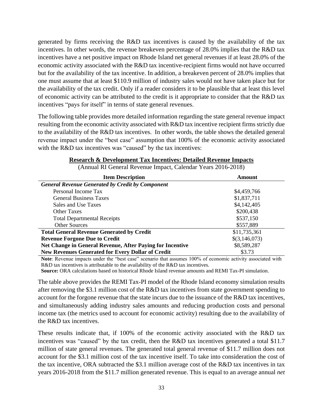generated by firms receiving the R&D tax incentives is caused by the availability of the tax incentives. In other words, the revenue breakeven percentage of 28.0% implies that the R&D tax incentives have a net positive impact on Rhode Island net general revenues if at least 28.0% of the economic activity associated with the R&D tax incentive-recipient firms would not have occurred but for the availability of the tax incentive. In addition, a breakeven percent of 28.0% implies that one must assume that at least \$110.9 million of industry sales would not have taken place but for the availability of the tax credit. Only if a reader considers it to be plausible that at least this level of economic activity can be attributed to the credit is it appropriate to consider that the R&D tax incentives "pays for itself" in terms of state general revenues.

The following table provides more detailed information regarding the state general revenue impact resulting from the economic activity associated with R&D tax incentive recipient firms strictly due to the availability of the R&D tax incentives. In other words, the table shows the detailed general revenue impact under the "best case" assumption that 100% of the economic activity associated with the R&D tax incentives was "caused" by the tax incentives:

| <b>Item Description</b>                                   | Amount        |
|-----------------------------------------------------------|---------------|
| <b>General Revenue Generated by Credit by Component</b>   |               |
| Personal Income Tax                                       | \$4,459,766   |
| <b>General Business Taxes</b>                             | \$1,837,711   |
| Sales and Use Taxes                                       | \$4,142,405   |
| <b>Other Taxes</b>                                        | \$200,438     |
| <b>Total Departmental Receipts</b>                        | \$537,150     |
| <b>Other Sources</b>                                      | \$557,889     |
| <b>Total General Revenue Generated by Credit</b>          | \$11,735,361  |
| <b>Revenue Forgone Due to Credit</b>                      | \$(3,146,073) |
| Net Change in General Revenue, After Paying for Incentive | \$8,589,287   |
| <b>New Revenues Generated for Every Dollar of Credit</b>  | \$3.73        |

#### **Research & Development Tax Incentives: Detailed Revenue Impacts**

(Annual RI General Revenue Impact, Calendar Years 2016-2018)

**Note**: Revenue impacts under the "best case" scenario that assumes 100% of economic activity associated with R&D tax incentives is attributable to the availability of the R&D tax incentives.

**Source:** ORA calculations based on historical Rhode Island revenue amounts and REMI Tax-PI simulation.

The table above provides the REMI Tax-PI model of the Rhode Island economy simulation results after removing the \$3.1 million cost of the R&D tax incentives from state government spending to account for the forgone revenue that the state incurs due to the issuance of the R&D tax incentives, and simultaneously adding industry sales amounts and reducing production costs and personal income tax (the metrics used to account for economic activity) resulting due to the availability of the R&D tax incentives.

These results indicate that, if 100% of the economic activity associated with the R&D tax incentives was "caused" by the tax credit, then the R&D tax incentives generated a total \$11.7 million of state general revenues. The generated total general revenue of \$11.7 million does not account for the \$3.1 million cost of the tax incentive itself. To take into consideration the cost of the tax incentive, ORA subtracted the \$3.1 million average cost of the R&D tax incentives in tax years 2016-2018 from the \$11.7 million generated revenue. This is equal to an average annual *net*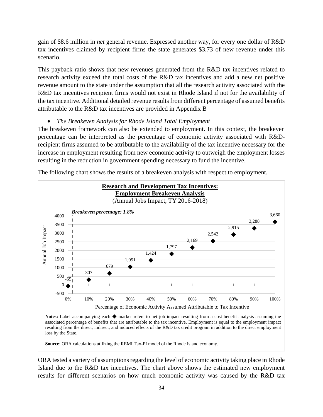gain of \$8.6 million in *net* general revenue. Expressed another way, for every one dollar of R&D tax incentives claimed by recipient firms the state generates \$3.73 of new revenue under this scenario.

This payback ratio shows that new revenues generated from the R&D tax incentives related to research activity exceed the total costs of the R&D tax incentives and add a new net positive revenue amount to the state under the assumption that all the research activity associated with the R&D tax incentives recipient firms would not exist in Rhode Island if not for the availability of the tax incentive. Additional detailed revenue results from different percentage of assumed benefits attributable to the R&D tax incentives are provided in Appendix B

#### • *The Breakeven Analysis for Rhode Island Total Employment*

The breakeven framework can also be extended to employment. In this context, the breakeven percentage can be interpreted as the percentage of economic activity associated with R&Drecipient firms assumed to be attributable to the availability of the tax incentive necessary for the increase in employment resulting from new economic activity to outweigh the employment losses resulting in the reduction in government spending necessary to fund the incentive.



The following chart shows the results of a breakeven analysis with respect to employment.

**Notes:** Label accompanying each ◆ marker refers to net job impact resulting from a cost-benefit analysis assuming the associated percentage of benefits that are attributable to the tax incentive. Employment is equal to the employment impact resulting from the direct, indirect, and induced effects of the R&D tax credit program in addition to the direct employment loss by the State.

**Source**: ORA calculations utilizing the REMI Tax-PI model of the Rhode Island economy.

ORA tested a variety of assumptions regarding the level of economic activity taking place in Rhode Island due to the R&D tax incentives. The chart above shows the estimated new employment results for different scenarios on how much economic activity was caused by the R&D tax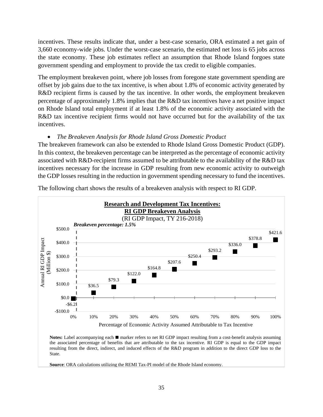incentives. These results indicate that, under a best-case scenario, ORA estimated a net gain of 3,660 economy-wide jobs. Under the worst-case scenario, the estimated net loss is 65 jobs across the state economy. These job estimates reflect an assumption that Rhode Island forgoes state government spending and employment to provide the tax credit to eligible companies.

The employment breakeven point, where job losses from foregone state government spending are offset by job gains due to the tax incentive, is when about 1.8% of economic activity generated by R&D recipient firms is caused by the tax incentive. In other words, the employment breakeven percentage of approximately 1.8% implies that the R&D tax incentives have a net positive impact on Rhode Island total employment if at least 1.8% of the economic activity associated with the R&D tax incentive recipient firms would not have occurred but for the availability of the tax incentives.

#### • *The Breakeven Analysis for Rhode Island Gross Domestic Product*

The breakeven framework can also be extended to Rhode Island Gross Domestic Product (GDP). In this context, the breakeven percentage can be interpreted as the percentage of economic activity associated with R&D-recipient firms assumed to be attributable to the availability of the R&D tax incentives necessary for the increase in GDP resulting from new economic activity to outweigh the GDP losses resulting in the reduction in government spending necessary to fund the incentives.



The following chart shows the results of a breakeven analysis with respect to RI GDP.

Notes: Label accompanying each ■ marker refers to net RI GDP impact resulting from a cost-benefit analysis assuming the associated percentage of benefits that are attributable to the tax incentive. RI GDP is equal to the GDP impact resulting from the direct, indirect, and induced effects of the R&D program in addition to the direct GDP loss to the State.

**Source**: ORA calculations utilizing the REMI Tax-PI model of the Rhode Island economy.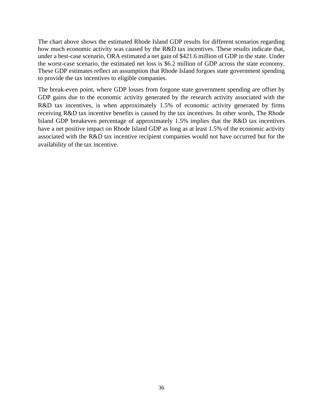The chart above shows the estimated Rhode Island GDP results for different scenarios regarding how much economic activity was caused by the R&D tax incentives. These results indicate that, under a best-case scenario, ORA estimated a net gain of \$421.6 million of GDP in the state. Under the worst-case scenario, the estimated net loss is \$6.2 million of GDP across the state economy. These GDP estimates reflect an assumption that Rhode Island forgoes state government spending to provide the tax incentives to eligible companies.

The break-even point, where GDP losses from forgone state government spending are offset by GDP gains due to the economic activity generated by the research activity associated with the R&D tax incentives, is when approximately 1.5% of economic activity generated by firms receiving R&D tax incentive benefits is caused by the tax incentives. In other words, The Rhode Island GDP breakeven percentage of approximately 1.5% implies that the R&D tax incentives have a net positive impact on Rhode Island GDP as long as at least 1.5% of the economic activity associated with the R&D tax incentive recipient companies would not have occurred but for the availability of the tax incentive.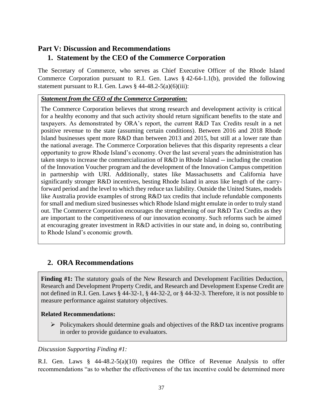# <span id="page-36-1"></span><span id="page-36-0"></span>**Part V: Discussion and Recommendations 1. Statement by the CEO of the Commerce Corporation**

The Secretary of Commerce, who serves as Chief Executive Officer of the Rhode Island Commerce Corporation pursuant to R.I. Gen. Laws § 42-64-1.1(b), provided the following statement pursuant to R.I. Gen. Laws  $\S$  44-48.2-5(a)(6)(iii):

#### *Statement from the CEO of the Commerce Corporation:*

The Commerce Corporation believes that strong research and development activity is critical for a healthy economy and that such activity should return significant benefits to the state and taxpayers. As demonstrated by ORA's report, the current R&D Tax Credits result in a net positive revenue to the state (assuming certain conditions). Between 2016 and 2018 Rhode Island businesses spent more R&D than between 2013 and 2015, but still at a lower rate than the national average. The Commerce Corporation believes that this disparity represents a clear opportunity to grow Rhode Island's economy. Over the last several years the administration has taken steps to increase the commercialization of R&D in Rhode Island -- including the creation of the Innovation Voucher program and the development of the Innovation Campus competition in partnership with URI. Additionally, states like Massachusetts and California have significantly stronger R&D incentives, besting Rhode Island in areas like length of the carryforward period and the level to which they reduce tax liability. Outside the United States, models like Australia provide examples of strong R&D tax credits that include refundable components for small and medium sized businesses which Rhode Island might emulate in order to truly stand out. The Commerce Corporation encourages the strengthening of our R&D Tax Credits as they are important to the competitiveness of our innovation economy. Such reforms such be aimed at encouraging greater investment in R&D activities in our state and, in doing so, contributing to Rhode Island's economic growth*.*

## <span id="page-36-2"></span>**2. ORA Recommendations**

**Finding #1:** The statutory goals of the New Research and Development Facilities Deduction, Research and Development Property Credit, and Research and Development Expense Credit are not defined in R.I. Gen. Laws § 44-32-1, § 44-32-2, or § 44-32-3. Therefore, it is not possible to measure performance against statutory objectives.

#### **Related Recommendations:**

 $\triangleright$  Policymakers should determine goals and objectives of the R&D tax incentive programs in order to provide guidance to evaluators.

#### *Discussion Supporting Finding #1:*

R.I. Gen. Laws  $\S$  44-48.2-5(a)(10) requires the Office of Revenue Analysis to offer recommendations "as to whether the effectiveness of the tax incentive could be determined more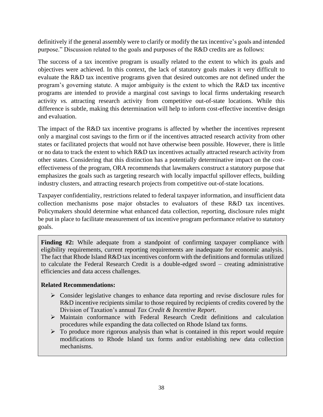definitively if the general assembly were to clarify or modify the tax incentive's goals and intended purpose." Discussion related to the goals and purposes of the R&D credits are as follows:

The success of a tax incentive program is usually related to the extent to which its goals and objectives were achieved. In this context, the lack of statutory goals makes it very difficult to evaluate the R&D tax incentive programs given that desired outcomes are not defined under the program's governing statute. A major ambiguity is the extent to which the R&D tax incentive programs are intended to provide a marginal cost savings to local firms undertaking research activity *vs.* attracting research activity from competitive out-of-state locations. While this difference is subtle, making this determination will help to inform cost-effective incentive design and evaluation.

The impact of the R&D tax incentive programs is affected by whether the incentives represent only a marginal cost savings to the firm or if the incentives attracted research activity from other states or facilitated projects that would not have otherwise been possible. However, there is little or no data to track the extent to which R&D tax incentives actually attracted research activity from other states. Considering that this distinction has a potentially determinative impact on the costeffectiveness of the program, ORA recommends that lawmakers construct a statutory purpose that emphasizes the goals such as targeting research with locally impactful spillover effects, building industry clusters, and attracting research projects from competitive out-of-state locations.

Taxpayer confidentiality, restrictions related to federal taxpayer information, and insufficient data collection mechanisms pose major obstacles to evaluators of these R&D tax incentives. Policymakers should determine what enhanced data collection, reporting, disclosure rules might be put in place to facilitate measurement of tax incentive program performance relative to statutory goals.

**Finding #2:** While adequate from a standpoint of confirming taxpayer compliance with eligibility requirements, current reporting requirements are inadequate for economic analysis. The fact that Rhode Island R&D tax incentives conform with the definitions and formulas utilized to calculate the Federal Research Credit is a double-edged sword – creating administrative efficiencies and data access challenges.

#### **Related Recommendations:**

- ➢ Consider legislative changes to enhance data reporting and revise disclosure rules for R&D incentive recipients similar to those required by recipients of credits covered by the Division of Taxation's annual *Tax Credit & Incentive Report*.
- ➢ Maintain conformance with Federal Research Credit definitions and calculation procedures while expanding the data collected on Rhode Island tax forms.
- $\triangleright$  To produce more rigorous analysis than what is contained in this report would require modifications to Rhode Island tax forms and/or establishing new data collection mechanisms.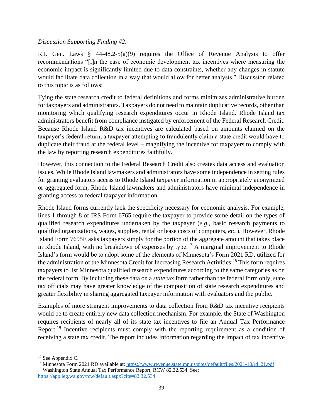#### *Discussion Supporting Finding #2:*

R.I. Gen. Laws § 44-48.2-5(a)(9) requires the Office of Revenue Analysis to offer recommendations "[i]n the case of economic development tax incentives where measuring the economic impact is significantly limited due to data constraints, whether any changes in statute would facilitate data collection in a way that would allow for better analysis." Discussion related to this topic is as follows:

Tying the state research credit to federal definitions and forms minimizes administrative burden for taxpayers and administrators. Taxpayers do not need to maintain duplicative records, other than monitoring which qualifying research expenditures occur in Rhode Island. Rhode Island tax administrators benefit from compliance instigated by enforcement of the Federal Research Credit. Because Rhode Island R&D tax incentives are calculated based on amounts claimed on the taxpayer's federal return, a taxpayer attempting to fraudulently claim a state credit would have to duplicate their fraud at the federal level – magnifying the incentive for taxpayers to comply with the law by reporting research expenditures faithfully.

However, this connection to the Federal Research Credit also creates data access and evaluation issues. While Rhode Island lawmakers and administrators have some independence in setting rules for granting evaluators access to Rhode Island taxpayer information in appropriately anonymized or aggregated form, Rhode Island lawmakers and administrators have minimal independence in granting access to federal taxpayer information.

Rhode Island forms currently lack the specificity necessary for economic analysis. For example, lines 1 through 8 of IRS Form 6765 require the taxpayer to provide some detail on the types of qualified research expenditures undertaken by the taxpayer (*e.g.*, basic research payments to qualified organizations, wages, supplies, rental or lease costs of computers, *etc.*). However, Rhode Island Form 7695E asks taxpayers simply for the portion of the aggregate amount that takes place in Rhode Island, with no breakdown of expenses by type.<sup>17</sup> A marginal improvement to Rhode Island's form would be to adopt some of the elements of Minnesota's Form 2021 RD, utilized for the administration of the Minnesota Credit for Increasing Research Activities.<sup>18</sup> This form requires taxpayers to list Minnesota qualified research expenditures according to the same categories as on the federal form. By including these data on a *state* tax form rather than the federal form only, state tax officials may have greater knowledge of the composition of state research expenditures and greater flexibility in sharing aggregated taxpayer information with evaluators and the public.

Examples of more stringent improvements to data collection from R&D tax incentive recipients would be to create entirely new data collection mechanism. For example, the State of Washington requires recipients of nearly all of its state tax incentives to file an Annual Tax Performance Report.<sup>19</sup> Incentive recipients must comply with the reporting requirement as a condition of receiving a state tax credit. The report includes information regarding the impact of tax incentive

<sup>&</sup>lt;sup>17</sup> See Appendix C.

<sup>&</sup>lt;sup>18</sup> Minnesota Form 2021 RD available at: [https://www.revenue.state.mn.us/sites/default/files/2021-10/rd\\_21.pdf](https://www.revenue.state.mn.us/sites/default/files/2021-10/rd_21.pdf) <sup>19</sup> Washington State Annual Tax Performance Report, RCW 82.32.534. See: <https://app.leg.wa.gov/rcw/default.aspx?cite=82.32.534>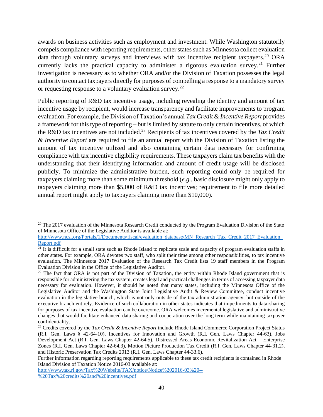awards on business activities such as employment and investment. While Washington statutorily compels compliance with reporting requirements, other states such as Minnesota collect evaluation data through voluntary surveys and interviews with tax incentive recipient taxpayers.<sup>20</sup> ORA currently lacks the practical capacity to administer a rigorous evaluation survey.<sup>21</sup> Further investigation is necessary as to whether ORA and/or the Division of Taxation possesses the legal authority to contact taxpayers directly for purposes of compelling a response to a mandatory survey or requesting response to a voluntary evaluation survey.<sup>22</sup>

Public reporting of R&D tax incentive usage, including revealing the identity and amount of tax incentive usage by recipient, would increase transparency and facilitate improvements to program evaluation. For example, the Division of Taxation's annual *Tax Credit & Incentive Report* provides a framework for this type of reporting – but is limited by statute to only certain incentives, of which the R&D tax incentives are not included.<sup>23</sup> Recipients of tax incentives covered by the *Tax Credit & Incentive Report* are required to file an annual report with the Division of Taxation listing the amount of tax incentive utilized and also containing certain data necessary for confirming compliance with tax incentive eligibility requirements. These taxpayers claim tax benefits with the understanding that their identifying information and amount of credit usage will be disclosed publicly. To minimize the administrative burden, such reporting could only be required for taxpayers claiming more than some minimum threshold (*e.g.*, basic disclosure might only apply to taxpayers claiming more than \$5,000 of R&D tax incentives; requirement to file more detailed annual report might apply to taxpayers claiming more than \$10,000).

[http://www.tax.ri.gov/Tax%20Website/TAX/notice/Notice%202016-03%20--](http://www.tax.ri.gov/Tax%20Website/TAX/notice/Notice%202016-03%20--%20Tax%20credits%20and%20incentives.pdf) [%20Tax%20credits%20and%20incentives.pdf](http://www.tax.ri.gov/Tax%20Website/TAX/notice/Notice%202016-03%20--%20Tax%20credits%20and%20incentives.pdf)

<sup>&</sup>lt;sup>20</sup> The 2017 evaluation of the Minnesota Research Credit conducted by the Program Evaluation Division of the State of Minnesota Office of the Legislative Auditor is available at:

[http://www.ncsl.org/Portals/1/Documents/fiscal/evaluation\\_database/MN\\_Research\\_Tax\\_Credit\\_2017\\_Evaluation\\_](http://www.ncsl.org/Portals/1/Documents/fiscal/evaluation_database/MN_Research_Tax_Credit_2017_Evaluation_Report.pdf) [Report.pdf](http://www.ncsl.org/Portals/1/Documents/fiscal/evaluation_database/MN_Research_Tax_Credit_2017_Evaluation_Report.pdf)

 $21$  It is difficult for a small state such as Rhode Island to replicate scale and capacity of program evaluation staffs in other states. For example, ORA devotes two staff, who split their time among other responsibilities, to tax incentive evaluation. The Minnesota 2017 Evaluation of the Research Tax Credit lists 19 staff members in the Program Evaluation Division in the Office of the Legislative Auditor.

 $22$  The fact that ORA is not part of the Division of Taxation, the entity within Rhode Island government that is responsible for administering the tax system, creates legal and practical challenges in terms of accessing taxpayer data necessary for evaluation. However, it should be noted that many states, including the Minnesota Office of the Legislative Auditor and the Washington State Joint Legislative Audit & Review Committee, conduct incentive evaluation in the legislative branch, which is not only outside of the tax administration agency, but outside of the executive branch entirely. Evidence of such collaboration in other states indicates that impediments to data-sharing for purposes of tax incentive evaluation can be overcome. ORA welcomes incremental legislative and administrative changes that would facilitate enhanced data sharing and cooperation over the long term while maintaining taxpayer confidentiality.

<sup>&</sup>lt;sup>23</sup> Credits covered by the *Tax Credit & Incentive Report* include Rhode Island Commerce Corporation Project Status (R.I. Gen. Laws § 42-64-10), Incentives for Innovation and Growth (R.I. Gen. Laws Chapter 44-63), Jobs Development Act (R.I. Gen. Laws Chapter 42-64.5), Distressed Areas Economic Revitalization Act – Enterprise Zones (R.I. Gen. Laws Chapter 42-64.3), Motion Picture Production Tax Credit (R.I. Gen. Laws Chapter 44-31.2), and Historic Preservation Tax Credits 2013 (R.I. Gen. Laws Chapter 44-33.6).

Further information regarding reporting requirements applicable to these tax credit recipients is contained in Rhode Island Division of Taxation Notice 2016-03 available at: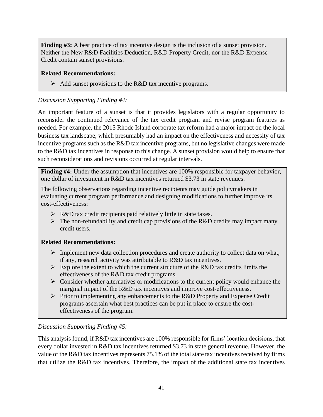**Finding #3:** A best practice of tax incentive design is the inclusion of a sunset provision. Neither the New R&D Facilities Deduction, R&D Property Credit, nor the R&D Expense Credit contain sunset provisions.

#### **Related Recommendations:**

 $\triangleright$  Add sunset provisions to the R&D tax incentive programs.

#### *Discussion Supporting Finding #4:*

An important feature of a sunset is that it provides legislators with a regular opportunity to reconsider the continued relevance of the tax credit program and revise program features as needed. For example, the 2015 Rhode Island corporate tax reform had a major impact on the local business tax landscape, which presumably had an impact on the effectiveness and necessity of tax incentive programs such as the R&D tax incentive programs, but no legislative changes were made to the R&D tax incentives in response to this change. A sunset provision would help to ensure that such reconsiderations and revisions occurred at regular intervals.

**Finding #4:** Under the assumption that incentives are 100% responsible for taxpayer behavior, one dollar of investment in R&D tax incentives returned \$3.73 in state revenues.

The following observations regarding incentive recipients may guide policymakers in evaluating current program performance and designing modifications to further improve its cost-effectiveness:

- ➢ R&D tax credit recipients paid relatively little in state taxes.
- $\triangleright$  The non-refundability and credit cap provisions of the R&D credits may impact many credit users.

#### **Related Recommendations:**

- $\triangleright$  Implement new data collection procedures and create authority to collect data on what, if any, research activity was attributable to R&D tax incentives.
- $\triangleright$  Explore the extent to which the current structure of the R&D tax credits limits the effectiveness of the R&D tax credit programs.
- ➢ Consider whether alternatives or modifications to the current policy would enhance the marginal impact of the R&D tax incentives and improve cost-effectiveness.
- ➢ Prior to implementing any enhancements to the R&D Property and Expense Credit programs ascertain what best practices can be put in place to ensure the costeffectiveness of the program.

#### *Discussion Supporting Finding #5:*

This analysis found, if R&D tax incentives are 100% responsible for firms' location decisions, that every dollar invested in R&D tax incentives returned \$3.73 in state general revenue. However, the value of the R&D tax incentives represents 75.1% of the total state tax incentives received by firms that utilize the R&D tax incentives. Therefore, the impact of the additional state tax incentives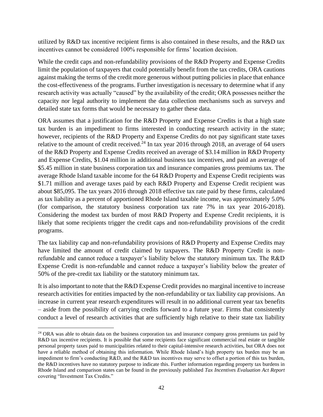utilized by R&D tax incentive recipient firms is also contained in these results, and the R&D tax incentives cannot be considered 100% responsible for firms' location decision.

While the credit caps and non-refundability provisions of the R&D Property and Expense Credits limit the population of taxpayers that could potentially benefit from the tax credits, ORA cautions against making the terms of the credit more generous without putting policies in place that enhance the cost-effectiveness of the programs. Further investigation is necessary to determine what if any research activity was actually "caused" by the availability of the credit; ORA possesses neither the capacity nor legal authority to implement the data collection mechanisms such as surveys and detailed state tax forms that would be necessary to gather these data.

ORA assumes that a justification for the R&D Property and Expense Credits is that a high state tax burden is an impediment to firms interested in conducting research activity in the state; however, recipients of the R&D Property and Expense Credits do not pay significant state taxes relative to the amount of credit received.<sup>24</sup> In tax year 2016 through 2018, an average of 64 users of the R&D Property and Expense Credits received an average of \$3.14 million in R&D Property and Expense Credits, \$1.04 million in additional business tax incentives, and paid an average of \$5.45 million in state business corporation tax and insurance companies gross premiums tax. The average Rhode Island taxable income for the 64 R&D Property and Expense Credit recipients was \$1.71 million and average taxes paid by each R&D Property and Expense Credit recipient was about \$85,095. The tax years 2016 through 2018 effective tax rate paid by these firms, calculated as tax liability as a percent of apportioned Rhode Island taxable income, was approximately 5.0% (for comparison, the statutory business corporation tax rate 7% in tax year 2016-2018). Considering the modest tax burden of most R&D Property and Expense Credit recipients, it is likely that some recipients trigger the credit caps and non-refundability provisions of the credit programs.

The tax liability cap and non-refundability provisions of R&D Property and Expense Credits may have limited the amount of credit claimed by taxpayers. The R&D Property Credit is nonrefundable and cannot reduce a taxpayer's liability below the statutory minimum tax. The R&D Expense Credit is non-refundable and cannot reduce a taxpayer's liability below the greater of 50% of the pre-credit tax liability or the statutory minimum tax.

It is also important to note that the R&D Expense Credit provides no marginal incentive to increase research activities for entities impacted by the non-refundability or tax liability cap provisions. An increase in current year research expenditures will result in no additional current year tax benefits – aside from the possibility of carrying credits forward to a future year. Firms that consistently conduct a level of research activities that are sufficiently high relative to their state tax liability

<sup>&</sup>lt;sup>24</sup> ORA was able to obtain data on the business corporation tax and insurance company gross premiums tax paid by R&D tax incentive recipients. It is possible that some recipients face significant commercial real estate or tangible personal property taxes paid to municipalities related to their capital-intensive research activities, but ORA does not have a reliable method of obtaining this information. While Rhode Island's high property tax burden may be an impediment to firm's conducting R&D, and the R&D tax incentives may serve to offset a portion of this tax burden, the R&D incentives have no statutory purpose to indicate this. Further information regarding property tax burdens in Rhode Island and comparison states can be found in the previously published *Tax Incentives Evaluation Act Report* covering "Investment Tax Credits."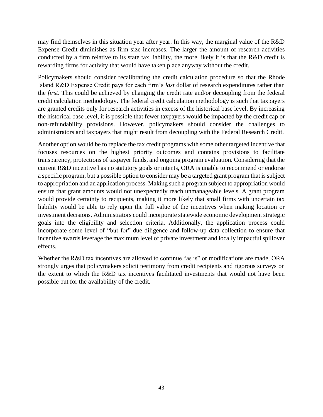may find themselves in this situation year after year. In this way, the marginal value of the R&D Expense Credit diminishes as firm size increases. The larger the amount of research activities conducted by a firm relative to its state tax liability, the more likely it is that the R&D credit is rewarding firms for activity that would have taken place anyway without the credit.

Policymakers should consider recalibrating the credit calculation procedure so that the Rhode Island R&D Expense Credit pays for each firm's *last* dollar of research expenditures rather than the *first*. This could be achieved by changing the credit rate and/or decoupling from the federal credit calculation methodology. The federal credit calculation methodology is such that taxpayers are granted credits only for research activities in excess of the historical base level. By increasing the historical base level, it is possible that fewer taxpayers would be impacted by the credit cap or non-refundability provisions. However, policymakers should consider the challenges to administrators and taxpayers that might result from decoupling with the Federal Research Credit.

Another option would be to replace the tax credit programs with some other targeted incentive that focuses resources on the highest priority outcomes and contains provisions to facilitate transparency, protections of taxpayer funds, and ongoing program evaluation. Considering that the current R&D incentive has no statutory goals or intents, ORA is unable to recommend or endorse a specific program, but a possible option to consider may be a targeted grant program that is subject to appropriation and an application process. Making such a program subject to appropriation would ensure that grant amounts would not unexpectedly reach unmanageable levels. A grant program would provide certainty to recipients, making it more likely that small firms with uncertain tax liability would be able to rely upon the full value of the incentives when making location or investment decisions. Administrators could incorporate statewide economic development strategic goals into the eligibility and selection criteria. Additionally, the application process could incorporate some level of "but for" due diligence and follow-up data collection to ensure that incentive awards leverage the maximum level of private investment and locally impactful spillover effects.

Whether the R&D tax incentives are allowed to continue "as is" or modifications are made, ORA strongly urges that policymakers solicit testimony from credit recipients and rigorous surveys on the extent to which the R&D tax incentives facilitated investments that would not have been possible but for the availability of the credit.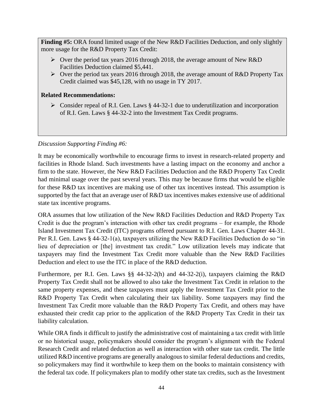**Finding #5:** ORA found limited usage of the New R&D Facilities Deduction, and only slightly more usage for the R&D Property Tax Credit:

- ➢ Over the period tax years 2016 through 2018, the average amount of New R&D Facilities Deduction claimed \$5,441.
- $\triangleright$  Over the period tax years 2016 through 2018, the average amount of R&D Property Tax Credit claimed was \$45,128, with no usage in TY 2017.

#### **Related Recommendations:**

 $\triangleright$  Consider repeal of R.I. Gen. Laws § 44-32-1 due to underutilization and incorporation of R.I. Gen. Laws § 44-32-2 into the Investment Tax Credit programs.

#### *Discussion Supporting Finding #6:*

It may be economically worthwhile to encourage firms to invest in research-related property and facilities in Rhode Island. Such investments have a lasting impact on the economy and anchor a firm to the state. However, the New R&D Facilities Deduction and the R&D Property Tax Credit had minimal usage over the past several years. This may be because firms that would be eligible for these R&D tax incentives are making use of other tax incentives instead. This assumption is supported by the fact that an average user of R&D tax incentives makes extensive use of additional state tax incentive programs.

ORA assumes that low utilization of the New R&D Facilities Deduction and R&D Property Tax Credit is due the program's interaction with other tax credit programs – for example, the Rhode Island Investment Tax Credit (ITC) programs offered pursuant to R.I. Gen. Laws Chapter 44-31. Per R.I. Gen. Laws § 44-32-1(a), taxpayers utilizing the New R&D Facilities Deduction do so "in lieu of depreciation or [the] investment tax credit." Low utilization levels may indicate that taxpayers may find the Investment Tax Credit more valuable than the New R&D Facilities Deduction and elect to use the ITC in place of the R&D deduction.

Furthermore, per R.I. Gen. Laws §§ 44-32-2(h) and 44-32-2(i), taxpayers claiming the R&D Property Tax Credit shall not be allowed to also take the Investment Tax Credit in relation to the same property expenses, and these taxpayers must apply the Investment Tax Credit prior to the R&D Property Tax Credit when calculating their tax liability. Some taxpayers may find the Investment Tax Credit more valuable than the R&D Property Tax Credit, and others may have exhausted their credit cap prior to the application of the R&D Property Tax Credit in their tax liability calculation.

While ORA finds it difficult to justify the administrative cost of maintaining a tax credit with little or no historical usage, policymakers should consider the program's alignment with the Federal Research Credit and related deduction as well as interaction with other state tax credit. The little utilized R&D incentive programs are generally analogous to similar federal deductions and credits, so policymakers may find it worthwhile to keep them on the books to maintain consistency with the federal tax code. If policymakers plan to modify other state tax credits, such as the Investment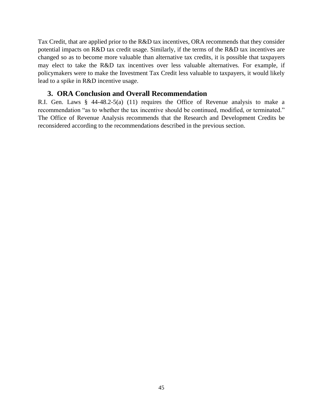Tax Credit, that are applied prior to the R&D tax incentives, ORA recommends that they consider potential impacts on R&D tax credit usage. Similarly, if the terms of the R&D tax incentives are changed so as to become more valuable than alternative tax credits, it is possible that taxpayers may elect to take the R&D tax incentives over less valuable alternatives. For example, if policymakers were to make the Investment Tax Credit less valuable to taxpayers, it would likely lead to a spike in R&D incentive usage.

#### **3. ORA Conclusion and Overall Recommendation**

<span id="page-44-0"></span>R.I. Gen. Laws § 44-48.2-5(a) (11) requires the Office of Revenue analysis to make a recommendation "as to whether the tax incentive should be continued, modified, or terminated." The Office of Revenue Analysis recommends that the Research and Development Credits be reconsidered according to the recommendations described in the previous section.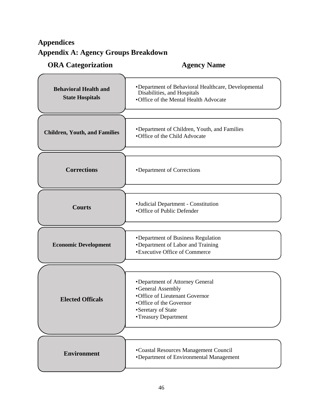# <span id="page-45-1"></span><span id="page-45-0"></span>**Appendices Appendix A: Agency Groups Breakdown**

# **ORA Categorization Agency Name**

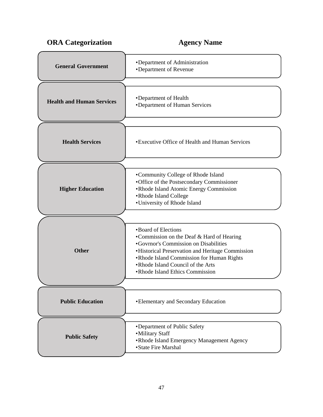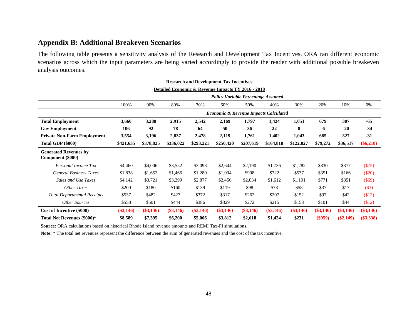#### **Appendix B: Additional Breakeven Scenarios**

The following table presents a sensitivity analysis of the Research and Development Tax Incentives. ORA ran different economic scenarios across which the input parameters are being varied accordingly to provide the reader with additional possible breakeven analysis outcomes.

<span id="page-47-0"></span>

|                                                   |             |             |             |             | <b>Research and Development Tax Incentives</b>     |             |             |             |             |             |             |
|---------------------------------------------------|-------------|-------------|-------------|-------------|----------------------------------------------------|-------------|-------------|-------------|-------------|-------------|-------------|
|                                                   |             |             |             |             | Detailed Economic & Revenue Impacts TY 2016 - 2018 |             |             |             |             |             |             |
|                                                   |             |             |             |             | <b>Policy Variable Percentage Assumed</b>          |             |             |             |             |             |             |
|                                                   | 100%        | 90%         | 80%         | 70%         | 60%                                                | 50%         | 40%         | 30%         | 20%         | 10%         | 0%          |
|                                                   |             |             |             |             | <b>Economic &amp; Revenue Impacts Calculated</b>   |             |             |             |             |             |             |
| <b>Total Employment</b>                           | 3,660       | 3,288       | 2,915       | 2,542       | 2,169                                              | 1,797       | 1,424       | 1,051       | 679         | 307         | $-65$       |
| <b>Gov Employment</b>                             | 106         | 92          | 78          | 64          | 50                                                 | 36          | 22          | 8           | -6          | $-20$       | $-34$       |
| <b>Private Non-Farm Employment</b>                | 3,554       | 3,196       | 2,837       | 2,478       | 2,119                                              | 1,761       | 1,402       | 1,043       | 685         | 327         | $-31$       |
| <b>Total GDP (\$000)</b>                          | \$421,635   | \$378,825   | \$336,022   | \$293,221   | \$250,420                                          | \$207,619   | \$164,818   | \$122,027   | \$79,272    | \$36,517    | $(\$6,218)$ |
| <b>Generated Revenues by</b><br>Component (\$000) |             |             |             |             |                                                    |             |             |             |             |             |             |
| Personal Income Tax                               | \$4,460     | \$4,006     | \$3,552     | \$3,098     | \$2,644                                            | \$2,190     | \$1,736     | \$1,282     | \$830       | \$377       | (\$75)      |
| <b>General Business Taxes</b>                     | \$1,838     | \$1,652     | \$1,466     | \$1,280     | \$1,094                                            | \$908       | \$722       | \$537       | \$351       | \$166       | $(\$20)$    |
| Sales and Use Taxes                               | \$4,142     | \$3,721     | \$3,299     | \$2,877     | \$2,456                                            | \$2,034     | \$1,612     | \$1,191     | \$771       | \$351       | (\$69)      |
| Other Taxes                                       | \$200       | \$180       | \$160       | \$139       | \$119                                              | \$98        | \$78        | \$58        | \$37        | \$17        | (\$3)       |
| <b>Total Departmental Receipts</b>                | \$537       | \$482       | \$427       | \$372       | \$317                                              | \$262       | \$207       | \$152       | \$97        | \$42        | \$12)       |
| <b>Other Sources</b>                              | \$558       | \$501       | \$444       | \$386       | \$329                                              | \$272       | \$215       | \$158       | \$101       | \$44        | \$12)       |
| Cost of Incentive (\$000)                         | $(\$3,146)$ | $(\$3,146)$ | $(\$3,146)$ | $(\$3,146)$ | $(\$3,146)$                                        | $(\$3,146)$ | $(\$3,146)$ | $(\$3,146)$ | $(\$3,146)$ | $(\$3,146)$ | $(\$3,146)$ |
| Total Net Revenues (\$000)*                       | \$8,589     | \$7,395     | \$6,200     | \$5,006     | \$3,812                                            | \$2,618     | \$1,424     | \$231       | $(\$959)$   | $(\$2,149)$ | $(\$3,338)$ |

**Source:** ORA calculations based on historical Rhode Island revenue amounts and REMI Tax-PI simulations.

Note: \* The total net revenues represent the difference between the sum of generated revenues and the cost of the tax incentive.